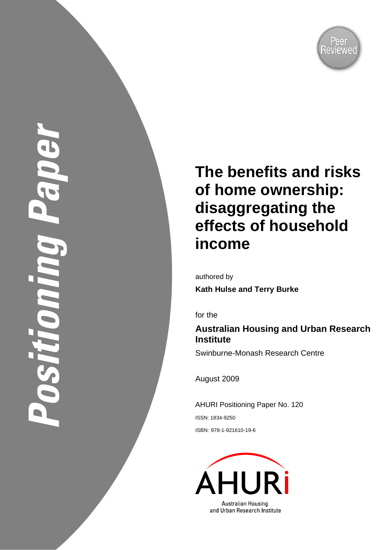

OSTITOM

# **The benefits and risks of home ownership: disaggregating the effects of household income**

authored by **Kath Hulse and Terry Burke** 

for the

# **Australian Housing and Urban Research Institute**

Swinburne-Monash Research Centre

August 2009

AHURI Positioning Paper No. 120 ISSN: 1834-9250 ISBN: 978-1-921610-19-6

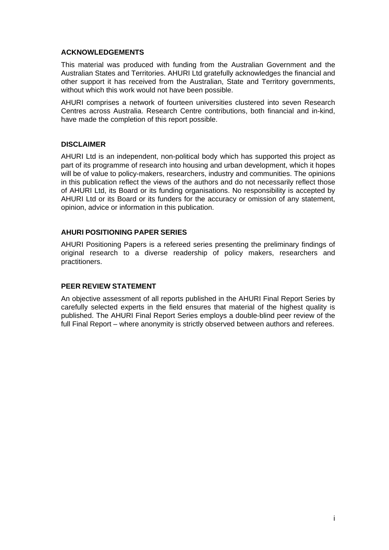#### **ACKNOWLEDGEMENTS**

This material was produced with funding from the Australian Government and the Australian States and Territories. AHURI Ltd gratefully acknowledges the financial and other support it has received from the Australian, State and Territory governments, without which this work would not have been possible.

AHURI comprises a network of fourteen universities clustered into seven Research Centres across Australia. Research Centre contributions, both financial and in-kind, have made the completion of this report possible.

#### **DISCLAIMER**

AHURI Ltd is an independent, non-political body which has supported this project as part of its programme of research into housing and urban development, which it hopes will be of value to policy-makers, researchers, industry and communities. The opinions in this publication reflect the views of the authors and do not necessarily reflect those of AHURI Ltd, its Board or its funding organisations. No responsibility is accepted by AHURI Ltd or its Board or its funders for the accuracy or omission of any statement, opinion, advice or information in this publication.

#### **AHURI POSITIONING PAPER SERIES**

AHURI Positioning Papers is a refereed series presenting the preliminary findings of original research to a diverse readership of policy makers, researchers and practitioners.

#### **PEER REVIEW STATEMENT**

An objective assessment of all reports published in the AHURI Final Report Series by carefully selected experts in the field ensures that material of the highest quality is published. The AHURI Final Report Series employs a double-blind peer review of the full Final Report – where anonymity is strictly observed between authors and referees.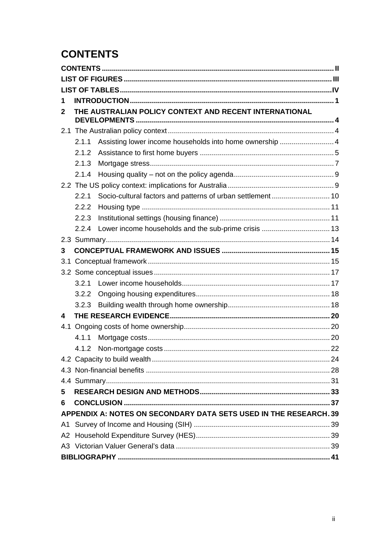# <span id="page-2-0"></span>**CONTENTS**

| 1              |       |                                                                   |  |  |  |
|----------------|-------|-------------------------------------------------------------------|--|--|--|
| 2              |       | THE AUSTRALIAN POLICY CONTEXT AND RECENT INTERNATIONAL            |  |  |  |
| 2.1            |       |                                                                   |  |  |  |
|                | 2.1.1 | Assisting lower income households into home ownership  4          |  |  |  |
|                | 2.1.2 |                                                                   |  |  |  |
|                | 2.1.3 |                                                                   |  |  |  |
|                | 2.1.4 |                                                                   |  |  |  |
|                |       |                                                                   |  |  |  |
|                | 2.2.1 |                                                                   |  |  |  |
|                | 2.2.2 |                                                                   |  |  |  |
|                | 2.2.3 |                                                                   |  |  |  |
|                | 224   |                                                                   |  |  |  |
|                |       |                                                                   |  |  |  |
| 3              |       |                                                                   |  |  |  |
| 3.1            |       |                                                                   |  |  |  |
|                |       |                                                                   |  |  |  |
|                | 3.2.1 |                                                                   |  |  |  |
|                | 3.2.2 |                                                                   |  |  |  |
|                | 3.2.3 |                                                                   |  |  |  |
| 4              |       |                                                                   |  |  |  |
| 4.1            |       |                                                                   |  |  |  |
|                | 4.1.1 |                                                                   |  |  |  |
|                | 4.1.2 |                                                                   |  |  |  |
|                |       |                                                                   |  |  |  |
|                |       |                                                                   |  |  |  |
|                |       |                                                                   |  |  |  |
| 5              |       |                                                                   |  |  |  |
| 6              |       |                                                                   |  |  |  |
|                |       | APPENDIX A: NOTES ON SECONDARY DATA SETS USED IN THE RESEARCH. 39 |  |  |  |
| A <sub>1</sub> |       |                                                                   |  |  |  |
|                |       |                                                                   |  |  |  |
|                |       |                                                                   |  |  |  |
|                |       |                                                                   |  |  |  |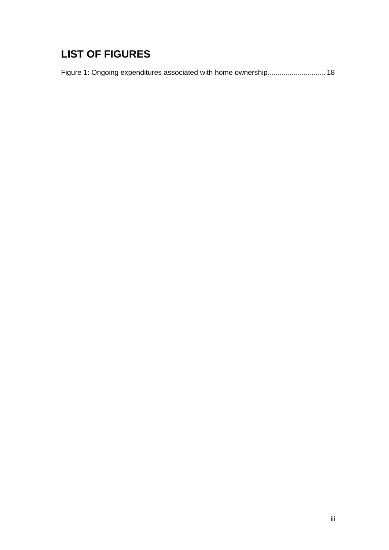# <span id="page-3-0"></span>**LIST OF FIGURES**

Figure 1: Ongoing expenditures associated with home ownership............................... 18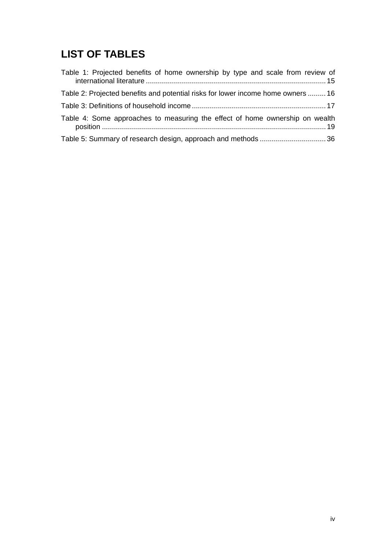# <span id="page-4-0"></span>**LIST OF TABLES**

| Table 1: Projected benefits of home ownership by type and scale from review of   |
|----------------------------------------------------------------------------------|
| Table 2: Projected benefits and potential risks for lower income home owners  16 |
|                                                                                  |
| Table 4: Some approaches to measuring the effect of home ownership on wealth     |
|                                                                                  |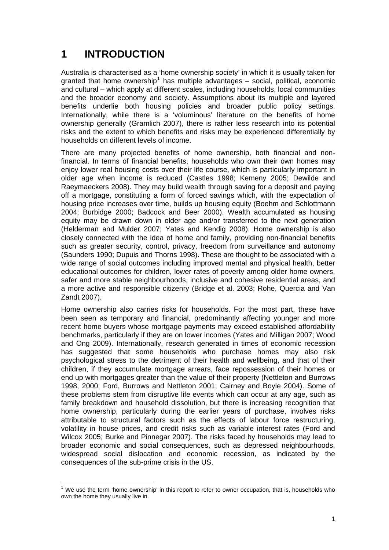# <span id="page-5-0"></span>**1 INTRODUCTION**

Australia is characterised as a 'home ownership society' in which it is usually taken for granted that home ownership<sup>[1](#page-5-1)</sup> has multiple advantages – social, political, economic and cultural – which apply at different scales, including households, local communities and the broader economy and society. Assumptions about its multiple and layered benefits underlie both housing policies and broader public policy settings. Internationally, while there is a 'voluminous' literature on the benefits of home ownership generally (Gramlich 2007), there is rather less research into its potential risks and the extent to which benefits and risks may be experienced differentially by households on different levels of income.

There are many projected benefits of home ownership, both financial and nonfinancial. In terms of financial benefits, households who own their own homes may enjoy lower real housing costs over their life course, which is particularly important in older age when income is reduced (Castles 1998; Kemeny 2005; Dewilde and Raeymaeckers 2008). They may build wealth through saving for a deposit and paying off a mortgage, constituting a form of forced savings which, with the expectation of housing price increases over time, builds up housing equity (Boehm and Schlottmann 2004; Burbidge 2000; Badcock and Beer 2000). Wealth accumulated as housing equity may be drawn down in older age and/or transferred to the next generation (Helderman and Mulder 2007; Yates and Kendig 2008). Home ownership is also closely connected with the idea of home and family, providing non-financial benefits such as greater security, control, privacy, freedom from surveillance and autonomy (Saunders 1990; Dupuis and Thorns 1998). These are thought to be associated with a wide range of social outcomes including improved mental and physical health, better educational outcomes for children, lower rates of poverty among older home owners, safer and more stable neighbourhoods, inclusive and cohesive residential areas, and a more active and responsible citizenry (Bridge et al. 2003; Rohe, Quercia and Van Zandt 2007).

Home ownership also carries risks for households. For the most part, these have been seen as temporary and financial, predominantly affecting younger and more recent home buyers whose mortgage payments may exceed established affordability benchmarks, particularly if they are on lower incomes (Yates and Milligan 2007; Wood and Ong 2009). Internationally, research generated in times of economic recession has suggested that some households who purchase homes may also risk psychological stress to the detriment of their health and wellbeing, and that of their children, if they accumulate mortgage arrears, face repossession of their homes or end up with mortgages greater than the value of their property (Nettleton and Burrows 1998, 2000; Ford, Burrows and Nettleton 2001; Cairney and Boyle 2004). Some of these problems stem from disruptive life events which can occur at any age, such as family breakdown and household dissolution, but there is increasing recognition that home ownership, particularly during the earlier years of purchase, involves risks attributable to structural factors such as the effects of labour force restructuring, volatility in house prices, and credit risks such as variable interest rates (Ford and Wilcox 2005; Burke and Pinnegar 2007). The risks faced by households may lead to broader economic and social consequences, such as depressed neighbourhoods, widespread social dislocation and economic recession, as indicated by the consequences of the sub-prime crisis in the US.

<span id="page-5-1"></span>THE TERM THE TERM THE TERM THE TERM THE TERM THE THE THOUSE THE THOUSE THE THOUSE THOUSE THE THOUSE THOUSE WHO<br>THE USE the term 'home ownership' in this report to refer to owner occupation, that is, households who own the home they usually live in.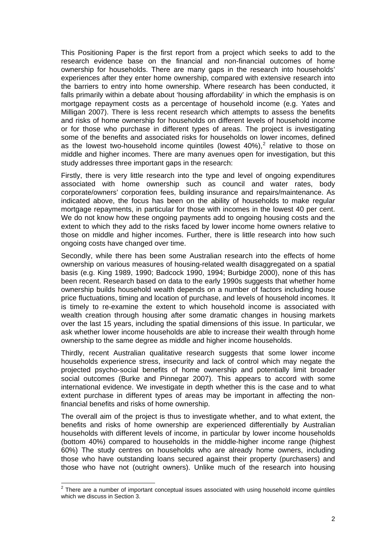This Positioning Paper is the first report from a project which seeks to add to the research evidence base on the financial and non-financial outcomes of home ownership for households. There are many gaps in the research into households' experiences after they enter home ownership, compared with extensive research into the barriers to entry into home ownership. Where research has been conducted, it falls primarily within a debate about 'housing affordability' in which the emphasis is on mortgage repayment costs as a percentage of household income (e.g. Yates and Milligan 2007). There is less recent research which attempts to assess the benefits and risks of home ownership for households on different levels of household income or for those who purchase in different types of areas. The project is investigating some of the benefits and associated risks for households on lower incomes, defined as the lowest two-household income quintiles (lowest  $40\%$ ),<sup>[2](#page-6-0)</sup> relative to those on middle and higher incomes. There are many avenues open for investigation, but this study addresses three important gaps in the research:

Firstly, there is very little research into the type and level of ongoing expenditures associated with home ownership such as council and water rates, body corporate/owners' corporation fees, building insurance and repairs/maintenance. As indicated above, the focus has been on the ability of households to make regular mortgage repayments, in particular for those with incomes in the lowest 40 per cent. We do not know how these ongoing payments add to ongoing housing costs and the extent to which they add to the risks faced by lower income home owners relative to those on middle and higher incomes. Further, there is little research into how such ongoing costs have changed over time.

Secondly, while there has been some Australian research into the effects of home ownership on various measures of housing-related wealth disaggregated on a spatial basis (e.g. King 1989, 1990; Badcock 1990, 1994; Burbidge 2000), none of this has been recent. Research based on data to the early 1990s suggests that whether home ownership builds household wealth depends on a number of factors including house price fluctuations, timing and location of purchase, and levels of household incomes. It is timely to re-examine the extent to which household income is associated with wealth creation through housing after some dramatic changes in housing markets over the last 15 years, including the spatial dimensions of this issue. In particular, we ask whether lower income households are able to increase their wealth through home ownership to the same degree as middle and higher income households.

Thirdly, recent Australian qualitative research suggests that some lower income households experience stress, insecurity and lack of control which may negate the projected psycho-social benefits of home ownership and potentially limit broader social outcomes (Burke and Pinnegar 2007). This appears to accord with some international evidence. We investigate in depth whether this is the case and to what extent purchase in different types of areas may be important in affecting the nonfinancial benefits and risks of home ownership.

The overall aim of the project is thus to investigate whether, and to what extent, the benefits and risks of home ownership are experienced differentially by Australian households with different levels of income, in particular by lower income households (bottom 40%) compared to households in the middle-higher income range (highest 60%) The study centres on households who are already home owners, including those who have outstanding loans secured against their property (purchasers) and those who have not (outright owners). Unlike much of the research into housing

<span id="page-6-0"></span>**EXECUTE:**<br><sup>2</sup> There are a number of important conceptual issues associated with using household income quintiles which we discuss in Section 3.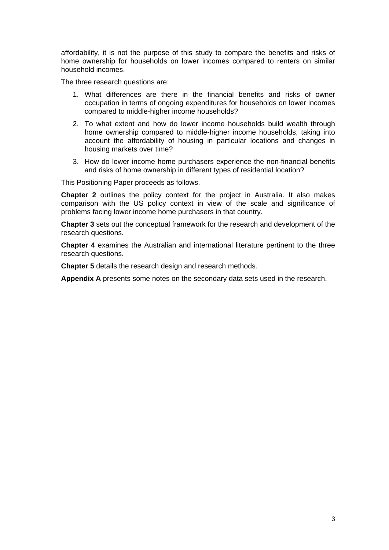affordability, it is not the purpose of this study to compare the benefits and risks of home ownership for households on lower incomes compared to renters on similar household incomes.

The three research questions are:

- 1. What differences are there in the financial benefits and risks of owner occupation in terms of ongoing expenditures for households on lower incomes compared to middle-higher income households?
- 2. To what extent and how do lower income households build wealth through home ownership compared to middle-higher income households, taking into account the affordability of housing in particular locations and changes in housing markets over time?
- 3. How do lower income home purchasers experience the non-financial benefits and risks of home ownership in different types of residential location?

This Positioning Paper proceeds as follows.

**Chapter 2** outlines the policy context for the project in Australia. It also makes comparison with the US policy context in view of the scale and significance of problems facing lower income home purchasers in that country.

**Chapter 3** sets out the conceptual framework for the research and development of the research questions.

**Chapter 4** examines the Australian and international literature pertinent to the three research questions.

**Chapter 5** details the research design and research methods.

**Appendix A** presents some notes on the secondary data sets used in the research.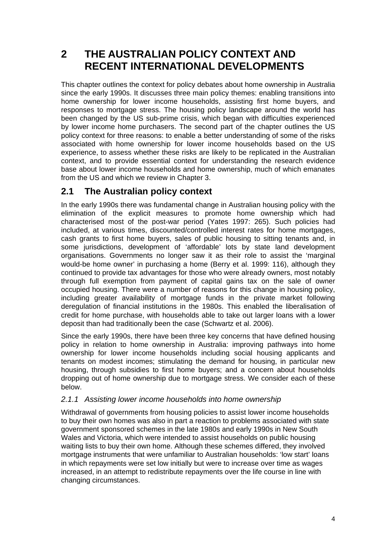# <span id="page-8-0"></span>**2 THE AUSTRALIAN POLICY CONTEXT AND RECENT INTERNATIONAL DEVELOPMENTS**

This chapter outlines the context for policy debates about home ownership in Australia since the early 1990s. It discusses three main policy themes: enabling transitions into home ownership for lower income households, assisting first home buyers, and responses to mortgage stress. The housing policy landscape around the world has been changed by the US sub-prime crisis, which began with difficulties experienced by lower income home purchasers. The second part of the chapter outlines the US policy context for three reasons: to enable a better understanding of some of the risks associated with home ownership for lower income households based on the US experience, to assess whether these risks are likely to be replicated in the Australian context, and to provide essential context for understanding the research evidence base about lower income households and home ownership, much of which emanates from the US and which we review in Chapter 3.

## **2.1 The Australian policy context**

In the early 1990s there was fundamental change in Australian housing policy with the elimination of the explicit measures to promote home ownership which had characterised most of the post-war period (Yates 1997: 265). Such policies had included, at various times, discounted/controlled interest rates for home mortgages, cash grants to first home buyers, sales of public housing to sitting tenants and, in some jurisdictions, development of 'affordable' lots by state land development organisations. Governments no longer saw it as their role to assist the 'marginal would-be home owner' in purchasing a home (Berry et al. 1999: 116), although they continued to provide tax advantages for those who were already owners, most notably through full exemption from payment of capital gains tax on the sale of owner occupied housing. There were a number of reasons for this change in housing policy, including greater availability of mortgage funds in the private market following deregulation of financial institutions in the 1980s. This enabled the liberalisation of credit for home purchase, with households able to take out larger loans with a lower deposit than had traditionally been the case (Schwartz et al. 2006).

Since the early 1990s, there have been three key concerns that have defined housing policy in relation to home ownership in Australia: improving pathways into home ownership for lower income households including social housing applicants and tenants on modest incomes; stimulating the demand for housing, in particular new housing, through subsidies to first home buyers; and a concern about households dropping out of home ownership due to mortgage stress. We consider each of these below.

### *2.1.1 Assisting lower income households into home ownership*

Withdrawal of governments from housing policies to assist lower income households to buy their own homes was also in part a reaction to problems associated with state government sponsored schemes in the late 1980s and early 1990s in New South Wales and Victoria, which were intended to assist households on public housing waiting lists to buy their own home. Although these schemes differed, they involved mortgage instruments that were unfamiliar to Australian households: 'low start' loans in which repayments were set low initially but were to increase over time as wages increased, in an attempt to redistribute repayments over the life course in line with changing circumstances.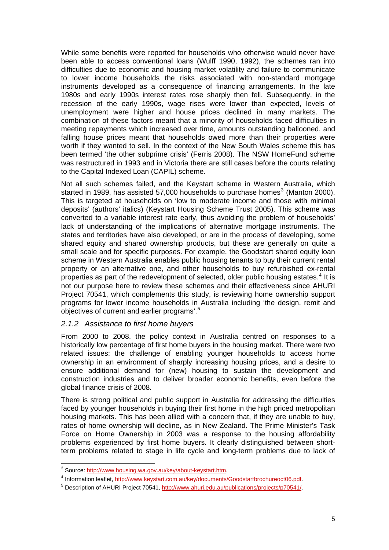<span id="page-9-0"></span>While some benefits were reported for households who otherwise would never have been able to access conventional loans (Wulff 1990, 1992), the schemes ran into difficulties due to economic and housing market volatility and failure to communicate to lower income households the risks associated with non-standard mortgage instruments developed as a consequence of financing arrangements. In the late 1980s and early 1990s interest rates rose sharply then fell. Subsequently, in the recession of the early 1990s, wage rises were lower than expected, levels of unemployment were higher and house prices declined in many markets. The combination of these factors meant that a minority of households faced difficulties in meeting repayments which increased over time, amounts outstanding ballooned, and falling house prices meant that households owed more than their properties were worth if they wanted to sell. In the context of the New South Wales scheme this has been termed 'the other subprime crisis' (Ferris 2008). The NSW HomeFund scheme was restructured in 1993 and in Victoria there are still cases before the courts relating to the Capital Indexed Loan (CAPIL) scheme.

Not all such schemes failed, and the Keystart scheme in Western Australia, which started in 1989, has assisted 57,000 households to purchase homes<sup>[3](#page-9-1)</sup> (Manton 2000). This is targeted at households on 'low to moderate income and those with minimal deposits' (authors' italics) (Keystart Housing Scheme Trust 2005). This scheme was converted to a variable interest rate early, thus avoiding the problem of households' lack of understanding of the implications of alternative mortgage instruments. The states and territories have also developed, or are in the process of developing, some shared equity and shared ownership products, but these are generally on quite a small scale and for specific purposes. For example, the Goodstart shared equity loan scheme in Western Australia enables public housing tenants to buy their current rental property or an alternative one, and other households to buy refurbished ex-rental properties as part of the redevelopment of selected, older public housing estates. $4$  It is not our purpose here to review these schemes and their effectiveness since AHURI Project 70541, which complements this study, is reviewing home ownership support programs for lower income households in Australia including 'the design, remit and objectives of current and earlier programs'.<sup>[5](#page-9-3)</sup>

#### *2.1.2 Assistance to first home buyers*

From 2000 to 2008, the policy context in Australia centred on responses to a historically low percentage of first home buyers in the housing market. There were two related issues: the challenge of enabling younger households to access home ownership in an environment of sharply increasing housing prices, and a desire to ensure additional demand for (new) housing to sustain the development and construction industries and to deliver broader economic benefits, even before the global finance crisis of 2008.

There is strong political and public support in Australia for addressing the difficulties faced by younger households in buying their first home in the high priced metropolitan housing markets. This has been allied with a concern that, if they are unable to buy, rates of home ownership will decline, as in New Zealand. The Prime Minister's Task Force on Home Ownership in 2003 was a response to the housing affordability problems experienced by first home buyers. It clearly distinguished between shortterm problems related to stage in life cycle and long-term problems due to lack of

<sup>&</sup>lt;sup>3</sup> Source: <http://www.housing.wa.gov.au/key/about-keystart.htm>l<br><sup>4</sup> Information logilat, http://www.kovatert.com.ou/key/documente/

<span id="page-9-2"></span><span id="page-9-1"></span><sup>&</sup>lt;sup>4</sup> Information leaflet, <http://www.keystart.com.au/key/documents/Goodstartbrochureoct06.pdf>.

<span id="page-9-3"></span>Description of AHURI Project 70541, [http://www.ahuri.edu.au/publications/projects/p70541/.](http://www.ahuri.edu.au/publications/projects/p70541/)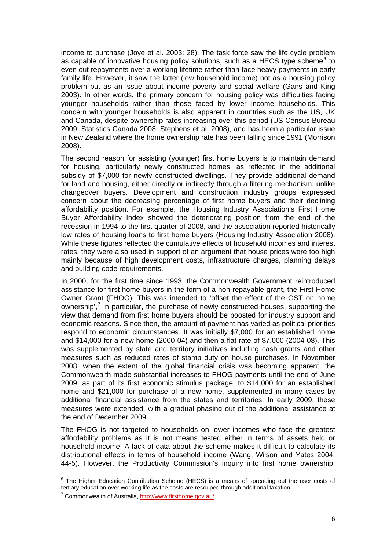income to purchase (Joye et al. 2003: 28). The task force saw the life cycle problem as capable of innovative housing policy solutions, such as a HECS type scheme $6$  to even out repayments over a working lifetime rather than face heavy payments in early family life. However, it saw the latter (low household income) not as a housing policy problem but as an issue about income poverty and social welfare (Gans and King 2003). In other words, the primary concern for housing policy was difficulties facing younger households rather than those faced by lower income households. This concern with younger households is also apparent in countries such as the US, UK and Canada, despite ownership rates increasing over this period (US Census Bureau 2009; Statistics Canada 2008; Stephens et al. 2008), and has been a particular issue in New Zealand where the home ownership rate has been falling since 1991 (Morrison 2008).

The second reason for assisting (younger) first home buyers is to maintain demand for housing, particularly newly constructed homes, as reflected in the additional subsidy of \$7,000 for newly constructed dwellings. They provide additional demand for land and housing, either directly or indirectly through a filtering mechanism, unlike changeover buyers. Development and construction industry groups expressed concern about the decreasing percentage of first home buyers and their declining affordability position. For example, the Housing Industry Association's First Home Buyer Affordability Index showed the deteriorating position from the end of the recession in 1994 to the first quarter of 2008, and the association reported historically low rates of housing loans to first home buyers (Housing Industry Association 2008). While these figures reflected the cumulative effects of household incomes and interest rates, they were also used in support of an argument that house prices were too high mainly because of high development costs, infrastructure charges, planning delays and building code requirements.

In 2000, for the first time since 1993, the Commonwealth Government reintroduced assistance for first home buyers in the form of a non-repayable grant, the First Home Owner Grant (FHOG). This was intended to 'offset the effect of the GST on home ownership',<sup>[7](#page-10-1)</sup> in particular, the purchase of newly constructed houses, supporting the view that demand from first home buyers should be boosted for industry support and economic reasons. Since then, the amount of payment has varied as political priorities respond to economic circumstances. It was initially \$7,000 for an established home and \$14,000 for a new home (2000-04) and then a flat rate of \$7,000 (2004-08). This was supplemented by state and territory initiatives including cash grants and other measures such as reduced rates of stamp duty on house purchases. In November 2008, when the extent of the global financial crisis was becoming apparent, the Commonwealth made substantial increases to FHOG payments until the end of June 2009, as part of its first economic stimulus package, to \$14,000 for an established home and \$21,000 for purchase of a new home, supplemented in many cases by additional financial assistance from the states and territories. In early 2009, these measures were extended, with a gradual phasing out of the additional assistance at the end of December 2009.

The FHOG is not targeted to households on lower incomes who face the greatest affordability problems as it is not means tested either in terms of assets held or household income. A lack of data about the scheme makes it difficult to calculate its distributional effects in terms of household income (Wang, Wilson and Yates 2004: 44-5). However, the Productivity Commission's inquiry into first home ownership,

<span id="page-10-0"></span>**ENEVALLE THE TEAM CONTENT CONTENT**<br><sup>6</sup> The Higher Education Contribution Scheme (HECS) is a means of spreading out the user costs of tertiary education over working life as the costs are recouped through additional taxation. 7

<span id="page-10-1"></span> $7$  Commonwealth of Australia, [http://www.firsthome.gov.au/.](http://www.firsthome.gov.au/)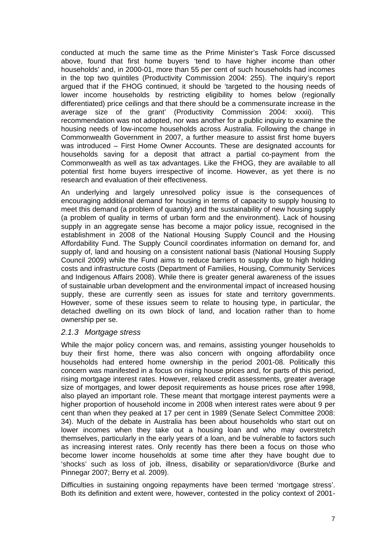<span id="page-11-0"></span>conducted at much the same time as the Prime Minister's Task Force discussed above, found that first home buyers 'tend to have higher income than other households' and, in 2000-01, more than 55 per cent of such households had incomes in the top two quintiles (Productivity Commission 2004: 255). The inquiry's report argued that if the FHOG continued, it should be 'targeted to the housing needs of lower income households by restricting eligibility to homes below (regionally differentiated) price ceilings and that there should be a commensurate increase in the average size of the grant' (Productivity Commission 2004: xxxii). This recommendation was not adopted, nor was another for a public inquiry to examine the housing needs of low-income households across Australia. Following the change in Commonwealth Government in 2007, a further measure to assist first home buyers was introduced – First Home Owner Accounts. These are designated accounts for households saving for a deposit that attract a partial co-payment from the Commonwealth as well as tax advantages. Like the FHOG, they are available to all potential first home buyers irrespective of income. However, as yet there is no research and evaluation of their effectiveness.

An underlying and largely unresolved policy issue is the consequences of encouraging additional demand for housing in terms of capacity to supply housing to meet this demand (a problem of quantity) and the sustainability of new housing supply (a problem of quality in terms of urban form and the environment). Lack of housing supply in an aggregate sense has become a major policy issue, recognised in the establishment in 2008 of the National Housing Supply Council and the Housing Affordability Fund. The Supply Council coordinates information on demand for, and supply of, land and housing on a consistent national basis (National Housing Supply Council 2009) while the Fund aims to reduce barriers to supply due to high holding costs and infrastructure costs (Department of Families, Housing, Community Services and Indigenous Affairs 2008). While there is greater general awareness of the issues of sustainable urban development and the environmental impact of increased housing supply, these are currently seen as issues for state and territory governments. However, some of these issues seem to relate to housing type, in particular, the detached dwelling on its own block of land, and location rather than to home ownership per se.

#### *2.1.3 Mortgage stress*

While the major policy concern was, and remains, assisting younger households to buy their first home, there was also concern with ongoing affordability once households had entered home ownership in the period 2001-08. Politically this concern was manifested in a focus on rising house prices and, for parts of this period, rising mortgage interest rates. However, relaxed credit assessments, greater average size of mortgages, and lower deposit requirements as house prices rose after 1998, also played an important role. These meant that mortgage interest payments were a higher proportion of household income in 2008 when interest rates were about 9 per cent than when they peaked at 17 per cent in 1989 (Senate Select Committee 2008: 34). Much of the debate in Australia has been about households who start out on lower incomes when they take out a housing loan and who may overstretch themselves, particularly in the early years of a loan, and be vulnerable to factors such as increasing interest rates. Only recently has there been a focus on those who become lower income households at some time after they have bought due to 'shocks' such as loss of job, illness, disability or separation/divorce (Burke and Pinnegar 2007; Berry et al. 2009).

Difficulties in sustaining ongoing repayments have been termed 'mortgage stress'. Both its definition and extent were, however, contested in the policy context of 2001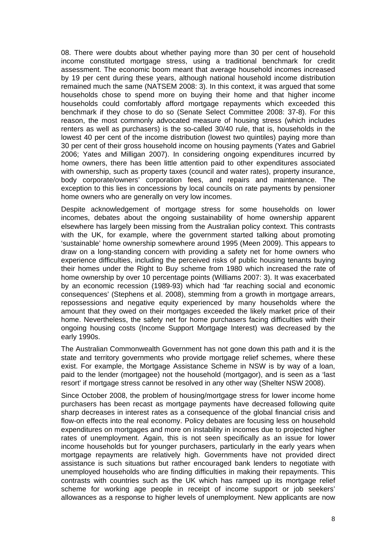08. There were doubts about whether paying more than 30 per cent of household income constituted mortgage stress, using a traditional benchmark for credit assessment. The economic boom meant that average household incomes increased by 19 per cent during these years, although national household income distribution remained much the same (NATSEM 2008: 3). In this context, it was argued that some households chose to spend more on buying their home and that higher income households could comfortably afford mortgage repayments which exceeded this benchmark if they chose to do so (Senate Select Committee 2008: 37-8). For this reason, the most commonly advocated measure of housing stress (which includes renters as well as purchasers) is the so-called 30/40 rule, that is, households in the lowest 40 per cent of the income distribution (lowest two quintiles) paying more than 30 per cent of their gross household income on housing payments (Yates and Gabriel 2006; Yates and Milligan 2007). In considering ongoing expenditures incurred by home owners, there has been little attention paid to other expenditures associated with ownership, such as property taxes (council and water rates), property insurance, body corporate/owners' corporation fees, and repairs and maintenance. The exception to this lies in concessions by local councils on rate payments by pensioner home owners who are generally on very low incomes.

Despite acknowledgement of mortgage stress for some households on lower incomes, debates about the ongoing sustainability of home ownership apparent elsewhere has largely been missing from the Australian policy context. This contrasts with the UK, for example, where the government started talking about promoting 'sustainable' home ownership somewhere around 1995 (Meen 2009). This appears to draw on a long-standing concern with providing a safety net for home owners who experience difficulties, including the perceived risks of public housing tenants buying their homes under the Right to Buy scheme from 1980 which increased the rate of home ownership by over 10 percentage points (Williams 2007: 3). It was exacerbated by an economic recession (1989-93) which had 'far reaching social and economic consequences' (Stephens et al. 2008), stemming from a growth in mortgage arrears, repossessions and negative equity experienced by many households where the amount that they owed on their mortgages exceeded the likely market price of their home. Nevertheless, the safety net for home purchasers facing difficulties with their ongoing housing costs (Income Support Mortgage Interest) was decreased by the early 1990s.

The Australian Commonwealth Government has not gone down this path and it is the state and territory governments who provide mortgage relief schemes, where these exist. For example, the Mortgage Assistance Scheme in NSW is by way of a loan, paid to the lender (mortgagee) not the household (mortgagor), and is seen as a 'last resort' if mortgage stress cannot be resolved in any other way (Shelter NSW 2008).

Since October 2008, the problem of housing/mortgage stress for lower income home purchasers has been recast as mortgage payments have decreased following quite sharp decreases in interest rates as a consequence of the global financial crisis and flow-on effects into the real economy. Policy debates are focusing less on household expenditures on mortgages and more on instability in incomes due to projected higher rates of unemployment. Again, this is not seen specifically as an issue for lower income households but for younger purchasers, particularly in the early years when mortgage repayments are relatively high. Governments have not provided direct assistance is such situations but rather encouraged bank lenders to negotiate with unemployed households who are finding difficulties in making their repayments. This contrasts with countries such as the UK which has ramped up its mortgage relief scheme for working age people in receipt of income support or job seekers' allowances as a response to higher levels of unemployment. New applicants are now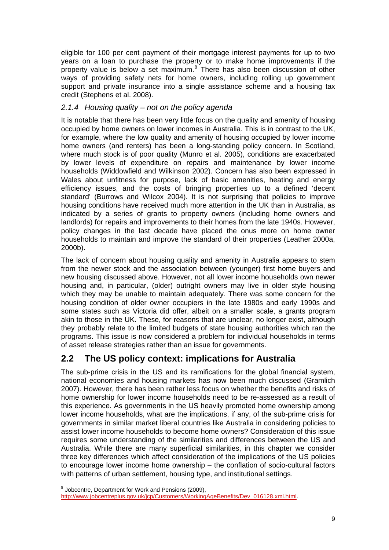<span id="page-13-0"></span>eligible for 100 per cent payment of their mortgage interest payments for up to two years on a loan to purchase the property or to make home improvements if the property value is below a set maximum.<sup>[8](#page-13-1)</sup> There has also been discussion of other ways of providing safety nets for home owners, including rolling up government support and private insurance into a single assistance scheme and a housing tax credit (Stephens et al. 2008).

#### *2.1.4 Housing quality – not on the policy agenda*

It is notable that there has been very little focus on the quality and amenity of housing occupied by home owners on lower incomes in Australia. This is in contrast to the UK, for example, where the low quality and amenity of housing occupied by lower income home owners (and renters) has been a long-standing policy concern. In Scotland, where much stock is of poor quality (Munro et al. 2005), conditions are exacerbated by lower levels of expenditure on repairs and maintenance by lower income households (Widdowfield and Wilkinson 2002). Concern has also been expressed in Wales about unfitness for purpose, lack of basic amenities, heating and energy efficiency issues, and the costs of bringing properties up to a defined 'decent standard' (Burrows and Wilcox 2004). It is not surprising that policies to improve housing conditions have received much more attention in the UK than in Australia, as indicated by a series of grants to property owners (including home owners and landlords) for repairs and improvements to their homes from the late 1940s. However, policy changes in the last decade have placed the onus more on home owner households to maintain and improve the standard of their properties (Leather 2000a, 2000b).

The lack of concern about housing quality and amenity in Australia appears to stem from the newer stock and the association between (younger) first home buyers and new housing discussed above. However, not all lower income households own newer housing and, in particular, (older) outright owners may live in older style housing which they may be unable to maintain adequately. There was some concern for the housing condition of older owner occupiers in the late 1980s and early 1990s and some states such as Victoria did offer, albeit on a smaller scale, a grants program akin to those in the UK. These, for reasons that are unclear, no longer exist, although they probably relate to the limited budgets of state housing authorities which ran the programs. This issue is now considered a problem for individual households in terms of asset release strategies rather than an issue for governments.

## **2.2 The US policy context: implications for Australia**

The sub-prime crisis in the US and its ramifications for the global financial system, national economies and housing markets has now been much discussed (Gramlich 2007). However, there has been rather less focus on whether the benefits and risks of home ownership for lower income households need to be re-assessed as a result of this experience. As governments in the US heavily promoted home ownership among lower income households, what are the implications, if any, of the sub-prime crisis for governments in similar market liberal countries like Australia in considering policies to assist lower income households to become home owners? Consideration of this issue requires some understanding of the similarities and differences between the US and Australia. While there are many superficial similarities, in this chapter we consider three key differences which affect consideration of the implications of the US policies to encourage lower income home ownership – the conflation of socio-cultural factors with patterns of urban settlement, housing type, and institutional settings.

 8 Jobcentre, Department for Work and Pensions (2009),

<span id="page-13-1"></span>[http://www.jobcentreplus.gov.uk/jcp/Customers/WorkingAgeBenefits/Dev\\_016128.xml.html](http://www.jobcentreplus.gov.uk/jcp/Customers/WorkingAgeBenefits/Dev_016128.xml.html).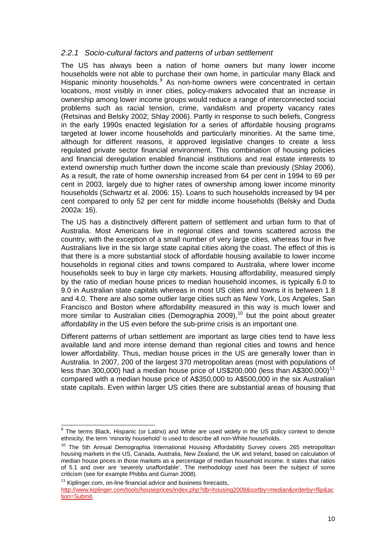#### <span id="page-14-0"></span>*2.2.1 Socio-cultural factors and patterns of urban settlement*

The US has always been a nation of home owners but many lower income households were not able to purchase their own home, in particular many Black and Hispanic minority households.<sup>[9](#page-14-1)</sup> As non-home owners were concentrated in certain locations, most visibly in inner cities, policy-makers advocated that an increase in ownership among lower income groups would reduce a range of interconnected social problems such as racial tension, crime, vandalism and property vacancy rates (Retsinas and Belsky 2002; Shlay 2006). Partly in response to such beliefs, Congress in the early 1990s enacted legislation for a series of affordable housing programs targeted at lower income households and particularly minorities. At the same time, although for different reasons, it approved legislative changes to create a less regulated private sector financial environment. This combination of housing policies and financial deregulation enabled financial institutions and real estate interests to extend ownership much further down the income scale than previously (Shlay 2006). As a result, the rate of home ownership increased from 64 per cent in 1994 to 69 per cent in 2003, largely due to higher rates of ownership among lower income minority households (Schwartz et al. 2006: 15). Loans to such households increased by 94 per cent compared to only 52 per cent for middle income households (Belsky and Duda 2002a: 16).

The US has a distinctively different pattern of settlement and urban form to that of Australia. Most Americans live in regional cities and towns scattered across the country, with the exception of a small number of very large cities, whereas four in five Australians live in the six large state capital cities along the coast. The effect of this is that there is a more substantial stock of affordable housing available to lower income households in regional cities and towns compared to Australia, where lower income households seek to buy in large city markets. Housing affordability, measured simply by the ratio of median house prices to median household incomes, is typically 6.0 to 9.0 in Australian state capitals whereas in most US cities and towns it is between 1.8 and 4.0. There are also some outlier large cities such as New York, Los Angeles, San Francisco and Boston where affordability measured in this way is much lower and more similar to Australian cities (Demographia 2009),<sup>[10](#page-14-2)</sup> but the point about greater affordability in the US even before the sub-prime crisis is an important one.

Different patterns of urban settlement are important as large cities tend to have less available land and more intense demand than regional cities and towns and hence lower affordability. Thus, median house prices in the US are generally lower than in Australia. In 2007, 200 of the largest 370 metropolitan areas (most with populations of less than 300,000) had a median house price of US\$200,000 (less than A\$300,000)<sup>[11](#page-14-3)</sup> compared with a median house price of A\$350,000 to A\$500,000 in the six Australian state capitals. Even within larger US cities there are substantial areas of housing that

<span id="page-14-3"></span> $11$  Kiplinger.com, on-line financial advice and business forecasts,

 $\overline{\phantom{a}}$ 

<span id="page-14-1"></span><sup>&</sup>lt;sup>9</sup> The terms Black, Hispanic (or Latino) and White are used widely in the US policy context to denote ethnicity; the term 'minority household' is used to describe all non-White households.<br><sup>10</sup> The 5th Annual Demographia International Housing Affordability Survey covers 265 metropolitan

<span id="page-14-2"></span>housing markets in the US, Canada, Australia, New Zealand, the UK and Ireland, based on calculation of median house prices in those markets as a percentage of median household income. It states that ratios of 5.1 and over are 'severely unaffordable'. The methodology used has been the subject of some criticism (see for example Phibbs and Gurran 2008).

[http://www.kiplinger.com/tools/houseprices/index.php?db=housing2008&sortby=median&orderby=flip&ac](http://www.kiplinger.com/tools/houseprices/index.php?db=housing2008&sortby=median&orderby=flip&action=Submit) [tion=Submit](http://www.kiplinger.com/tools/houseprices/index.php?db=housing2008&sortby=median&orderby=flip&action=Submit).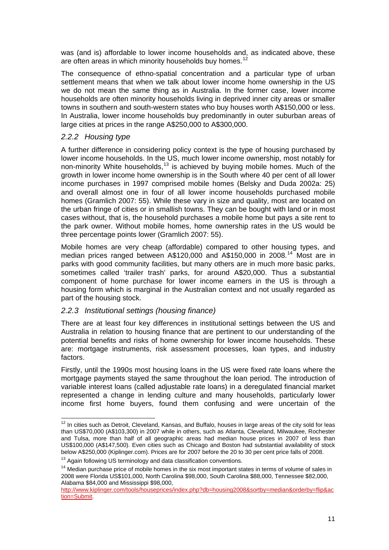<span id="page-15-0"></span>was (and is) affordable to lower income households and, as indicated above, these are often areas in which minority households buy homes.<sup>[12](#page-15-1)</sup>

The consequence of ethno-spatial concentration and a particular type of urban settlement means that when we talk about lower income home ownership in the US we do not mean the same thing as in Australia. In the former case, lower income households are often minority households living in deprived inner city areas or smaller towns in southern and south-western states who buy houses worth A\$150,000 or less. In Australia, lower income households buy predominantly in outer suburban areas of large cities at prices in the range A\$250,000 to A\$300,000.

#### *2.2.2 Housing type*

A further difference in considering policy context is the type of housing purchased by lower income households. In the US, much lower income ownership, most notably for non-minority White households,<sup>[13](#page-15-2)</sup> is achieved by buying mobile homes. Much of the growth in lower income home ownership is in the South where 40 per cent of all lower income purchases in 1997 comprised mobile homes (Belsky and Duda 2002a: 25) and overall almost one in four of all lower income households purchased mobile homes (Gramlich 2007: 55). While these vary in size and quality, most are located on the urban fringe of cities or in smallish towns. They can be bought with land or in most cases without, that is, the household purchases a mobile home but pays a site rent to the park owner. Without mobile homes, home ownership rates in the US would be three percentage points lower (Gramlich 2007: 55).

Mobile homes are very cheap (affordable) compared to other housing types, and median prices ranged between A\$120,000 and A\$150,000 in 2008.<sup>[14](#page-15-3)</sup> Most are in parks with good community facilities, but many others are in much more basic parks, sometimes called 'trailer trash' parks, for around A\$20,000. Thus a substantial component of home purchase for lower income earners in the US is through a housing form which is marginal in the Australian context and not usually regarded as part of the housing stock.

#### *2.2.3 Institutional settings (housing finance)*

There are at least four key differences in institutional settings between the US and Australia in relation to housing finance that are pertinent to our understanding of the potential benefits and risks of home ownership for lower income households. These are: mortgage instruments, risk assessment processes, loan types, and industry factors.

Firstly, until the 1990s most housing loans in the US were fixed rate loans where the mortgage payments stayed the same throughout the loan period. The introduction of variable interest loans (called adjustable rate loans) in a deregulated financial market represented a change in lending culture and many households, particularly lower income first home buyers, found them confusing and were uncertain of the

<span id="page-15-1"></span> $12$  In cities such as Detroit, Cleveland, Kansas, and Buffalo, houses in large areas of the city sold for leas than US\$70,000 (A\$103,300) in 2007 while in others, such as Atlanta, Cleveland, Milwaukee, Rochester and Tulsa, more than half of all geographic areas had median house prices in 2007 of less than US\$100,000 (A\$147,500). Even cities such as Chicago and Boston had substantial availability of stock below A\$250,000 (Kiplinger.com). Prices are for 2007 before the 20 to 30 per cent price falls of 2008.<br><sup>13</sup> Again following US terminology and data classification conventions.

<span id="page-15-3"></span><span id="page-15-2"></span><sup>&</sup>lt;sup>14</sup> Median purchase price of mobile homes in the six most important states in terms of volume of sales in 2008 were Florida US\$101,000, North Carolina \$98,000, South Carolina \$88,000, Tennessee \$82,000, Alabama \$84,000 and Mississippi \$98,000,

[http://www.kiplinger.com/tools/houseprices/index.php?db=housing2008&sortby=median&orderby=flip&ac](http://www.kiplinger.com/tools/houseprices/index.php?db=housing2008&sortby=median&orderby=flip&action=Submit) [tion=Submit](http://www.kiplinger.com/tools/houseprices/index.php?db=housing2008&sortby=median&orderby=flip&action=Submit).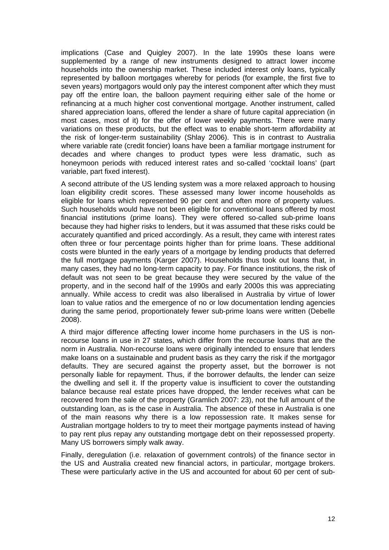implications (Case and Quigley 2007). In the late 1990s these loans were supplemented by a range of new instruments designed to attract lower income households into the ownership market. These included interest only loans, typically represented by balloon mortgages whereby for periods (for example, the first five to seven years) mortgagors would only pay the interest component after which they must pay off the entire loan, the balloon payment requiring either sale of the home or refinancing at a much higher cost conventional mortgage. Another instrument, called shared appreciation loans, offered the lender a share of future capital appreciation (in most cases, most of it) for the offer of lower weekly payments. There were many variations on these products, but the effect was to enable short-term affordability at the risk of longer-term sustainability (Shlay 2006). This is in contrast to Australia where variable rate (credit foncier) loans have been a familiar mortgage instrument for decades and where changes to product types were less dramatic, such as honeymoon periods with reduced interest rates and so-called 'cocktail loans' (part variable, part fixed interest).

A second attribute of the US lending system was a more relaxed approach to housing loan eligibility credit scores. These assessed many lower income households as eligible for loans which represented 90 per cent and often more of property values. Such households would have not been eligible for conventional loans offered by most financial institutions (prime loans). They were offered so-called sub-prime loans because they had higher risks to lenders, but it was assumed that these risks could be accurately quantified and priced accordingly. As a result, they came with interest rates often three or four percentage points higher than for prime loans. These additional costs were blunted in the early years of a mortgage by lending products that deferred the full mortgage payments (Karger 2007). Households thus took out loans that, in many cases, they had no long-term capacity to pay. For finance institutions, the risk of default was not seen to be great because they were secured by the value of the property, and in the second half of the 1990s and early 2000s this was appreciating annually. While access to credit was also liberalised in Australia by virtue of lower loan to value ratios and the emergence of no or low documentation lending agencies during the same period, proportionately fewer sub-prime loans were written (Debelle 2008).

A third major difference affecting lower income home purchasers in the US is nonrecourse loans in use in 27 states, which differ from the recourse loans that are the norm in Australia. Non-recourse loans were originally intended to ensure that lenders make loans on a sustainable and prudent basis as they carry the risk if the mortgagor defaults. They are secured against the property asset, but the borrower is not personally liable for repayment. Thus, if the borrower defaults, the lender can seize the dwelling and sell it. If the property value is insufficient to cover the outstanding balance because real estate prices have dropped, the lender receives what can be recovered from the sale of the property (Gramlich 2007: 23), not the full amount of the outstanding loan, as is the case in Australia. The absence of these in Australia is one of the main reasons why there is a low repossession rate. It makes sense for Australian mortgage holders to try to meet their mortgage payments instead of having to pay rent plus repay any outstanding mortgage debt on their repossessed property. Many US borrowers simply walk away.

Finally, deregulation (i.e. relaxation of government controls) of the finance sector in the US and Australia created new financial actors, in particular, mortgage brokers. These were particularly active in the US and accounted for about 60 per cent of sub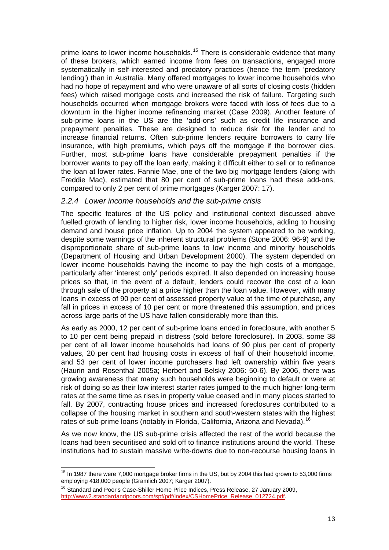<span id="page-17-0"></span>prime loans to lower income households.<sup>[15](#page-17-1)</sup> There is considerable evidence that many of these brokers, which earned income from fees on transactions, engaged more systematically in self-interested and predatory practices (hence the term 'predatory lending') than in Australia. Many offered mortgages to lower income households who had no hope of repayment and who were unaware of all sorts of closing costs (hidden fees) which raised mortgage costs and increased the risk of failure. Targeting such households occurred when mortgage brokers were faced with loss of fees due to a downturn in the higher income refinancing market (Case 2009). Another feature of sub-prime loans in the US are the 'add-ons' such as credit life insurance and prepayment penalties. These are designed to reduce risk for the lender and to increase financial returns. Often sub-prime lenders require borrowers to carry life insurance, with high premiums, which pays off the mortgage if the borrower dies. Further, most sub-prime loans have considerable prepayment penalties if the borrower wants to pay off the loan early, making it difficult either to sell or to refinance the loan at lower rates. Fannie Mae, one of the two big mortgage lenders (along with Freddie Mac), estimated that 80 per cent of sub-prime loans had these add-ons, compared to only 2 per cent of prime mortgages (Karger 2007: 17).

#### *2.2.4 Lower income households and the sub-prime crisis*

The specific features of the US policy and institutional context discussed above fuelled growth of lending to higher risk, lower income households, adding to housing demand and house price inflation. Up to 2004 the system appeared to be working, despite some warnings of the inherent structural problems (Stone 2006: 96-9) and the disproportionate share of sub-prime loans to low income and minority households (Department of Housing and Urban Development 2000). The system depended on lower income households having the income to pay the high costs of a mortgage, particularly after 'interest only' periods expired. It also depended on increasing house prices so that, in the event of a default, lenders could recover the cost of a loan through sale of the property at a price higher than the loan value. However, with many loans in excess of 90 per cent of assessed property value at the time of purchase, any fall in prices in excess of 10 per cent or more threatened this assumption, and prices across large parts of the US have fallen considerably more than this.

As early as 2000, 12 per cent of sub-prime loans ended in foreclosure, with another 5 to 10 per cent being prepaid in distress (sold before foreclosure). In 2003, some 38 per cent of all lower income households had loans of 90 plus per cent of property values, 20 per cent had housing costs in excess of half of their household income, and 53 per cent of lower income purchasers had left ownership within five years (Haurin and Rosenthal 2005a; Herbert and Belsky 2006: 50-6). By 2006, there was growing awareness that many such households were beginning to default or were at risk of doing so as their low interest starter rates jumped to the much higher long-term rates at the same time as rises in property value ceased and in many places started to fall. By 2007, contracting house prices and increased foreclosures contributed to a collapse of the housing market in southern and south-western states with the highest rates of sub-prime loans (notably in Florida, California, Arizona and Nevada).<sup>[16](#page-17-2)</sup>

As we now know, the US sub-prime crisis affected the rest of the world because the loans had been securitised and sold off to finance institutions around the world. These institutions had to sustain massive write-downs due to non-recourse housing loans in

<span id="page-17-1"></span>  $15$  In 1987 there were 7,000 mortgage broker firms in the US, but by 2004 this had grown to 53,000 firms employing 418,000 people (Gramlich 2007; Karger 2007).<br><sup>16</sup> Standard and Poor's Case-Shiller Home Price Indices, Press Release, 27 January 2009,

<span id="page-17-2"></span>[http://www2.standardandpoors.com/spf/pdf/index/CSHomePrice\\_Release\\_012724.pdf](http://www2.standardandpoors.com/spf/pdf/index/CSHomePrice_Release_012724.pdf).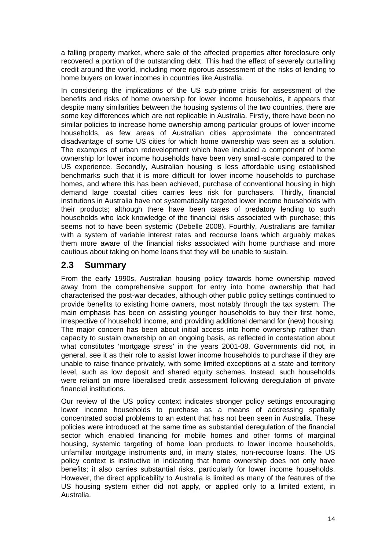<span id="page-18-0"></span>a falling property market, where sale of the affected properties after foreclosure only recovered a portion of the outstanding debt. This had the effect of severely curtailing credit around the world, including more rigorous assessment of the risks of lending to home buyers on lower incomes in countries like Australia.

In considering the implications of the US sub-prime crisis for assessment of the benefits and risks of home ownership for lower income households, it appears that despite many similarities between the housing systems of the two countries, there are some key differences which are not replicable in Australia. Firstly, there have been no similar policies to increase home ownership among particular groups of lower income households, as few areas of Australian cities approximate the concentrated disadvantage of some US cities for which home ownership was seen as a solution. The examples of urban redevelopment which have included a component of home ownership for lower income households have been very small-scale compared to the US experience. Secondly, Australian housing is less affordable using established benchmarks such that it is more difficult for lower income households to purchase homes, and where this has been achieved, purchase of conventional housing in high demand large coastal cities carries less risk for purchasers. Thirdly, financial institutions in Australia have not systematically targeted lower income households with their products; although there have been cases of predatory lending to such households who lack knowledge of the financial risks associated with purchase; this seems not to have been systemic (Debelle 2008). Fourthly, Australians are familiar with a system of variable interest rates and recourse loans which arguably makes them more aware of the financial risks associated with home purchase and more cautious about taking on home loans that they will be unable to sustain.

### **2.3 Summary**

From the early 1990s, Australian housing policy towards home ownership moved away from the comprehensive support for entry into home ownership that had characterised the post-war decades, although other public policy settings continued to provide benefits to existing home owners, most notably through the tax system. The main emphasis has been on assisting younger households to buy their first home, irrespective of household income, and providing additional demand for (new) housing. The major concern has been about initial access into home ownership rather than capacity to sustain ownership on an ongoing basis, as reflected in contestation about what constitutes 'mortgage stress' in the years 2001-08. Governments did not, in general, see it as their role to assist lower income households to purchase if they are unable to raise finance privately, with some limited exceptions at a state and territory level, such as low deposit and shared equity schemes. Instead, such households were reliant on more liberalised credit assessment following deregulation of private financial institutions.

Our review of the US policy context indicates stronger policy settings encouraging lower income households to purchase as a means of addressing spatially concentrated social problems to an extent that has not been seen in Australia. These policies were introduced at the same time as substantial deregulation of the financial sector which enabled financing for mobile homes and other forms of marginal housing, systemic targeting of home loan products to lower income households, unfamiliar mortgage instruments and, in many states, non-recourse loans. The US policy context is instructive in indicating that home ownership does not only have benefits; it also carries substantial risks, particularly for lower income households. However, the direct applicability to Australia is limited as many of the features of the US housing system either did not apply, or applied only to a limited extent, in Australia.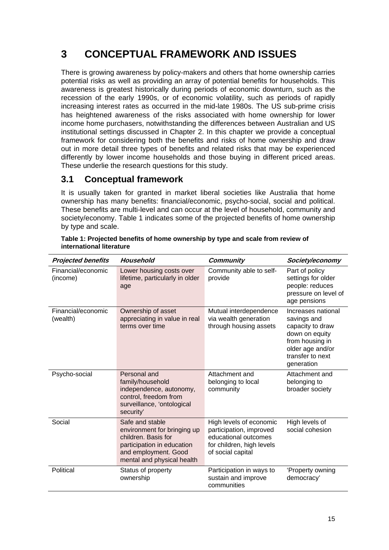# <span id="page-19-0"></span>**3 CONCEPTUAL FRAMEWORK AND ISSUES**

There is growing awareness by policy-makers and others that home ownership carries potential risks as well as providing an array of potential benefits for households. This awareness is greatest historically during periods of economic downturn, such as the recession of the early 1990s, or of economic volatility, such as periods of rapidly increasing interest rates as occurred in the mid-late 1980s. The US sub-prime crisis has heightened awareness of the risks associated with home ownership for lower income home purchasers, notwithstanding the differences between Australian and US institutional settings discussed in Chapter 2. In this chapter we provide a conceptual framework for considering both the benefits and risks of home ownership and draw out in more detail three types of benefits and related risks that may be experienced differently by lower income households and those buying in different priced areas. These underlie the research questions for this study.

## **3.1 Conceptual framework**

It is usually taken for granted in market liberal societies like Australia that home ownership has many benefits: financial/economic, psycho-social, social and political. These benefits are multi-level and can occur at the level of household, community and society/economy. Table 1 indicates some of the projected benefits of home ownership by type and scale.

| <b>Projected benefits</b>      | Household                                                                                                                                                 | <b>Community</b>                                                                                                             | Society/economy                                                                                                                                  |
|--------------------------------|-----------------------------------------------------------------------------------------------------------------------------------------------------------|------------------------------------------------------------------------------------------------------------------------------|--------------------------------------------------------------------------------------------------------------------------------------------------|
| Financial/economic<br>(income) | Lower housing costs over<br>lifetime, particularly in older<br>age                                                                                        | Community able to self-<br>provide                                                                                           | Part of policy<br>settings for older<br>people: reduces<br>pressure on level of<br>age pensions                                                  |
| Financial/economic<br>(wealth) | Ownership of asset<br>appreciating in value in real<br>terms over time                                                                                    | Mutual interdependence<br>via wealth generation<br>through housing assets                                                    | Increases national<br>savings and<br>capacity to draw<br>down on equity<br>from housing in<br>older age and/or<br>transfer to next<br>generation |
| Psycho-social                  | Personal and<br>family/household<br>independence, autonomy,<br>control, freedom from<br>surveillance, 'ontological<br>security'                           | Attachment and<br>belonging to local<br>community                                                                            | Attachment and<br>belonging to<br>broader society                                                                                                |
| Social                         | Safe and stable<br>environment for bringing up<br>children. Basis for<br>participation in education<br>and employment. Good<br>mental and physical health | High levels of economic<br>participation, improved<br>educational outcomes<br>for children, high levels<br>of social capital | High levels of<br>social cohesion                                                                                                                |
| Political                      | Status of property<br>ownership                                                                                                                           | Participation in ways to<br>sustain and improve<br>communities                                                               | 'Property owning<br>democracy'                                                                                                                   |

**Table 1: Projected benefits of home ownership by type and scale from review of international literature**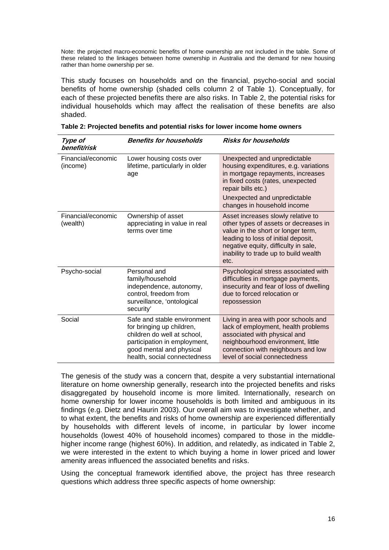<span id="page-20-0"></span>Note: the projected macro-economic benefits of home ownership are not included in the table. Some of these related to the linkages between home ownership in Australia and the demand for new housing rather than home ownership per se.

This study focuses on households and on the financial, psycho-social and social benefits of home ownership (shaded cells column 2 of Table 1). Conceptually, for each of these projected benefits there are also risks. In Table 2, the potential risks for individual households which may affect the realisation of these benefits are also shaded.

| Type of<br>benefit/risk        | <b>Benefits for households</b>                                                                                                                                                      | <b>Risks for households</b>                                                                                                                                                                                                                       |
|--------------------------------|-------------------------------------------------------------------------------------------------------------------------------------------------------------------------------------|---------------------------------------------------------------------------------------------------------------------------------------------------------------------------------------------------------------------------------------------------|
| Financial/economic<br>(income) | Lower housing costs over<br>lifetime, particularly in older<br>age                                                                                                                  | Unexpected and unpredictable<br>housing expenditures, e.g. variations<br>in mortgage repayments, increases<br>in fixed costs (rates, unexpected<br>repair bills etc.)                                                                             |
|                                |                                                                                                                                                                                     | Unexpected and unpredictable<br>changes in household income                                                                                                                                                                                       |
| Financial/economic<br>(wealth) | Ownership of asset<br>appreciating in value in real<br>terms over time                                                                                                              | Asset increases slowly relative to<br>other types of assets or decreases in<br>value in the short or longer term,<br>leading to loss of initial deposit,<br>negative equity, difficulty in sale,<br>inability to trade up to build wealth<br>etc. |
| Psycho-social                  | Personal and<br>family/household<br>independence, autonomy,<br>control, freedom from<br>surveillance, 'ontological<br>security'                                                     | Psychological stress associated with<br>difficulties in mortgage payments,<br>insecurity and fear of loss of dwelling<br>due to forced relocation or<br>repossession                                                                              |
| Social                         | Safe and stable environment<br>for bringing up children,<br>children do well at school,<br>participation in employment,<br>good mental and physical<br>health, social connectedness | Living in area with poor schools and<br>lack of employment, health problems<br>associated with physical and<br>neighbourhood environment, little<br>connection with neighbours and low<br>level of social connectedness                           |

| Table 2: Projected benefits and potential risks for lower income home owners |  |  |
|------------------------------------------------------------------------------|--|--|
|------------------------------------------------------------------------------|--|--|

The genesis of the study was a concern that, despite a very substantial international literature on home ownership generally, research into the projected benefits and risks disaggregated by household income is more limited. Internationally, research on home ownership for lower income households is both limited and ambiguous in its findings (e.g. Dietz and Haurin 2003). Our overall aim was to investigate whether, and to what extent, the benefits and risks of home ownership are experienced differentially by households with different levels of income, in particular by lower income households (lowest 40% of household incomes) compared to those in the middlehigher income range (highest 60%). In addition, and relatedly, as indicated in Table 2, we were interested in the extent to which buying a home in lower priced and lower amenity areas influenced the associated benefits and risks.

Using the conceptual framework identified above, the project has three research questions which address three specific aspects of home ownership: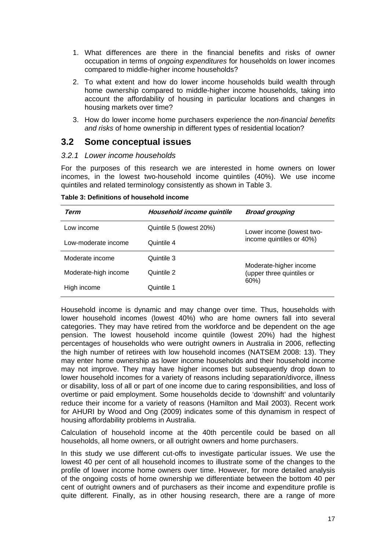- <span id="page-21-0"></span>1. What differences are there in the financial benefits and risks of owner occupation in terms of *ongoing expenditures* for households on lower incomes compared to middle-higher income households?
- 2. To what extent and how do lower income households build wealth through home ownership compared to middle-higher income households, taking into account the affordability of housing in particular locations and changes in housing markets over time?
- 3. How do lower income home purchasers experience the *non-financial benefits and risks* of home ownership in different types of residential location?

#### **3.2 Some conceptual issues**

#### *3.2.1 Lower income households*

For the purposes of this research we are interested in home owners on lower incomes, in the lowest two-household income quintiles (40%). We use income quintiles and related terminology consistently as shown in Table 3.

| Term                 | Household income quintile | <b>Broad grouping</b>                               |  |
|----------------------|---------------------------|-----------------------------------------------------|--|
| Low income           | Quintile 5 (lowest 20%)   | Lower income (lowest two-                           |  |
| Low-moderate income  | Quintile 4                | income quintiles or 40%)                            |  |
| Moderate income      | Quintile 3                |                                                     |  |
| Moderate-high income | Quintile 2                | Moderate-higher income<br>(upper three quintiles or |  |
| High income          | Quintile 1                | $60\%$                                              |  |

**Table 3: Definitions of household income** 

Household income is dynamic and may change over time. Thus, households with lower household incomes (lowest 40%) who are home owners fall into several categories. They may have retired from the workforce and be dependent on the age pension. The lowest household income quintile (lowest 20%) had the highest percentages of households who were outright owners in Australia in 2006, reflecting the high number of retirees with low household incomes (NATSEM 2008: 13). They may enter home ownership as lower income households and their household income may not improve. They may have higher incomes but subsequently drop down to lower household incomes for a variety of reasons including separation/divorce, illness or disability, loss of all or part of one income due to caring responsibilities, and loss of overtime or paid employment. Some households decide to 'downshift' and voluntarily reduce their income for a variety of reasons (Hamilton and Mail 2003). Recent work for AHURI by Wood and Ong (2009) indicates some of this dynamism in respect of housing affordability problems in Australia.

Calculation of household income at the 40th percentile could be based on all households, all home owners, or all outright owners and home purchasers.

In this study we use different cut-offs to investigate particular issues. We use the lowest 40 per cent of all household incomes to illustrate some of the changes to the profile of lower income home owners over time. However, for more detailed analysis of the ongoing costs of home ownership we differentiate between the bottom 40 per cent of outright owners and of purchasers as their income and expenditure profile is quite different. Finally, as in other housing research, there are a range of more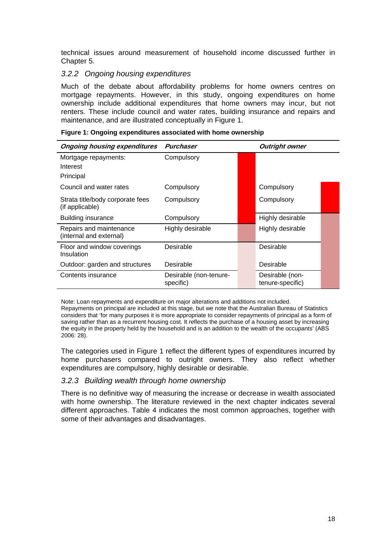<span id="page-22-0"></span>technical issues around measurement of household income discussed further in Chapter 5.

#### *3.2.2 Ongoing housing expenditures*

Much of the debate about affordability problems for home owners centres on mortgage repayments. However, in this study, ongoing expenditures on home ownership include additional expenditures that home owners may incur, but not renters. These include council and water rates, building insurance and repairs and maintenance, and are illustrated conceptually in Figure 1.

|  | Figure 1: Ongoing expenditures associated with home ownership |  |  |
|--|---------------------------------------------------------------|--|--|
|  |                                                               |  |  |

| <b>Ongoing housing expenditures</b>                 | Purchaser                           |  | <b>Outright owner</b>               |  |
|-----------------------------------------------------|-------------------------------------|--|-------------------------------------|--|
| Mortgage repayments:                                | Compulsory                          |  |                                     |  |
| Interest                                            |                                     |  |                                     |  |
| Principal                                           |                                     |  |                                     |  |
| Council and water rates                             | Compulsory                          |  | Compulsory                          |  |
| Strata title/body corporate fees<br>(if applicable) | Compulsory                          |  | Compulsory                          |  |
| <b>Building insurance</b>                           | Compulsory                          |  | Highly desirable                    |  |
| Repairs and maintenance<br>(internal and external)  | Highly desirable                    |  | Highly desirable                    |  |
| Floor and window coverings<br>Insulation            | Desirable                           |  | Desirable                           |  |
| Outdoor: garden and structures                      | Desirable                           |  | Desirable                           |  |
| Contents insurance                                  | Desirable (non-tenure-<br>specific) |  | Desirable (non-<br>tenure-specific) |  |

Note: Loan repayments and expenditure on major alterations and additions not included. Repayments on principal are included at this stage, but we note that the Australian Bureau of Statistics considers that 'for many purposes it is more appropriate to consider repayments of principal as a form of saving rather than as a recurrent housing cost. It reflects the purchase of a housing asset by increasing the equity in the property held by the household and is an addition to the wealth of the occupants' (ABS 2006: 28).

The categories used in Figure 1 reflect the different types of expenditures incurred by home purchasers compared to outright owners. They also reflect whether expenditures are compulsory, highly desirable or desirable.

#### *3.2.3 Building wealth through home ownership*

There is no definitive way of measuring the increase or decrease in wealth associated with home ownership. The literature reviewed in the next chapter indicates several different approaches. Table 4 indicates the most common approaches, together with some of their advantages and disadvantages.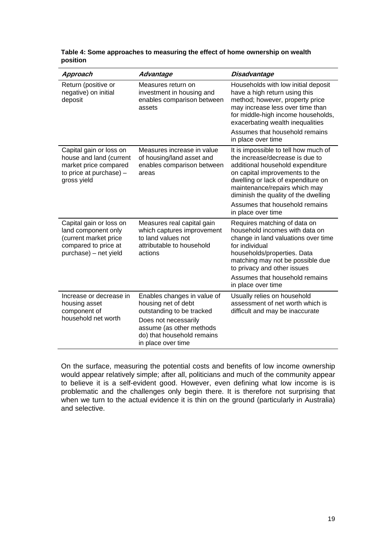| Approach                                                                                                                 | Advantage                                                                                                                                                                               | <b>Disadvantage</b>                                                                                                                                                                                                                                                                                                  |
|--------------------------------------------------------------------------------------------------------------------------|-----------------------------------------------------------------------------------------------------------------------------------------------------------------------------------------|----------------------------------------------------------------------------------------------------------------------------------------------------------------------------------------------------------------------------------------------------------------------------------------------------------------------|
| Return (positive or<br>negative) on initial<br>deposit                                                                   | Measures return on<br>investment in housing and<br>enables comparison between<br>assets                                                                                                 | Households with low initial deposit<br>have a high return using this<br>method; however, property price<br>may increase less over time than<br>for middle-high income households,<br>exacerbating wealth inequalities                                                                                                |
|                                                                                                                          |                                                                                                                                                                                         | Assumes that household remains<br>in place over time                                                                                                                                                                                                                                                                 |
| Capital gain or loss on<br>house and land (current<br>market price compared<br>to price at purchase) $-$<br>gross yield  | Measures increase in value<br>of housing/land asset and<br>enables comparison between<br>areas                                                                                          | It is impossible to tell how much of<br>the increase/decrease is due to<br>additional household expenditure<br>on capital improvements to the<br>dwelling or lack of expenditure on<br>maintenance/repairs which may<br>diminish the quality of the dwelling<br>Assumes that household remains<br>in place over time |
| Capital gain or loss on<br>land component only<br>(current market price<br>compared to price at<br>purchase) - net yield | Measures real capital gain<br>which captures improvement<br>to land values not<br>attributable to household<br>actions                                                                  | Requires matching of data on<br>household incomes with data on<br>change in land valuations over time<br>for individual<br>households/properties. Data<br>matching may not be possible due<br>to privacy and other issues<br>Assumes that household remains<br>in place over time                                    |
| Increase or decrease in<br>housing asset<br>component of<br>household net worth                                          | Enables changes in value of<br>housing net of debt<br>outstanding to be tracked<br>Does not necessarily<br>assume (as other methods<br>do) that household remains<br>in place over time | Usually relies on household<br>assessment of net worth which is<br>difficult and may be inaccurate                                                                                                                                                                                                                   |

<span id="page-23-0"></span>**Table 4: Some approaches to measuring the effect of home ownership on wealth position** 

On the surface, measuring the potential costs and benefits of low income ownership would appear relatively simple; after all, politicians and much of the community appear to believe it is a self-evident good. However, even defining what low income is is problematic and the challenges only begin there. It is therefore not surprising that when we turn to the actual evidence it is thin on the ground (particularly in Australia) and selective.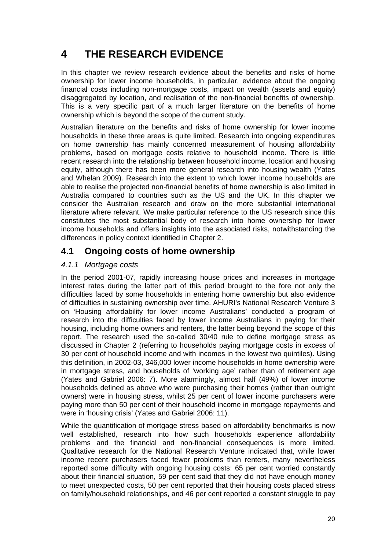# <span id="page-24-0"></span>**4 THE RESEARCH EVIDENCE**

In this chapter we review research evidence about the benefits and risks of home ownership for lower income households, in particular, evidence about the ongoing financial costs including non-mortgage costs, impact on wealth (assets and equity) disaggregated by location, and realisation of the non-financial benefits of ownership. This is a very specific part of a much larger literature on the benefits of home ownership which is beyond the scope of the current study.

Australian literature on the benefits and risks of home ownership for lower income households in these three areas is quite limited. Research into ongoing expenditures on home ownership has mainly concerned measurement of housing affordability problems, based on mortgage costs relative to household income. There is little recent research into the relationship between household income, location and housing equity, although there has been more general research into housing wealth (Yates and Whelan 2009). Research into the extent to which lower income households are able to realise the projected non-financial benefits of home ownership is also limited in Australia compared to countries such as the US and the UK. In this chapter we consider the Australian research and draw on the more substantial international literature where relevant. We make particular reference to the US research since this constitutes the most substantial body of research into home ownership for lower income households and offers insights into the associated risks, notwithstanding the differences in policy context identified in Chapter 2.

## **4.1 Ongoing costs of home ownership**

### *4.1.1 Mortgage costs*

In the period 2001-07, rapidly increasing house prices and increases in mortgage interest rates during the latter part of this period brought to the fore not only the difficulties faced by some households in entering home ownership but also evidence of difficulties in sustaining ownership over time. AHURI's National Research Venture 3 on 'Housing affordability for lower income Australians' conducted a program of research into the difficulties faced by lower income Australians in paying for their housing, including home owners and renters, the latter being beyond the scope of this report. The research used the so-called 30/40 rule to define mortgage stress as discussed in Chapter 2 (referring to households paying mortgage costs in excess of 30 per cent of household income and with incomes in the lowest two quintiles). Using this definition, in 2002-03, 346,000 lower income households in home ownership were in mortgage stress, and households of 'working age' rather than of retirement age (Yates and Gabriel 2006: 7). More alarmingly, almost half (49%) of lower income households defined as above who were purchasing their homes (rather than outright owners) were in housing stress, whilst 25 per cent of lower income purchasers were paying more than 50 per cent of their household income in mortgage repayments and were in 'housing crisis' (Yates and Gabriel 2006: 11).

While the quantification of mortgage stress based on affordability benchmarks is now well established, research into how such households experience affordability problems and the financial and non-financial consequences is more limited. Qualitative research for the National Research Venture indicated that, while lower income recent purchasers faced fewer problems than renters, many nevertheless reported some difficulty with ongoing housing costs: 65 per cent worried constantly about their financial situation, 59 per cent said that they did not have enough money to meet unexpected costs, 50 per cent reported that their housing costs placed stress on family/household relationships, and 46 per cent reported a constant struggle to pay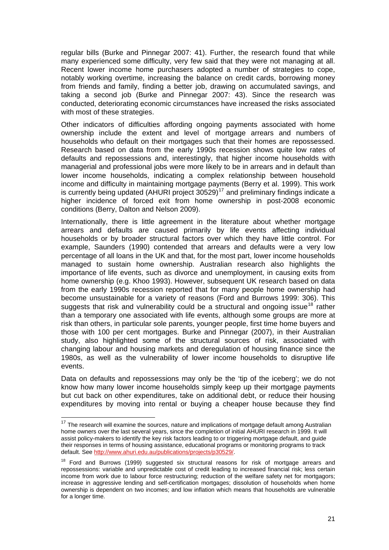regular bills (Burke and Pinnegar 2007: 41). Further, the research found that while many experienced some difficulty, very few said that they were not managing at all. Recent lower income home purchasers adopted a number of strategies to cope, notably working overtime, increasing the balance on credit cards, borrowing money from friends and family, finding a better job, drawing on accumulated savings, and taking a second job (Burke and Pinnegar 2007: 43). Since the research was conducted, deteriorating economic circumstances have increased the risks associated with most of these strategies.

Other indicators of difficulties affording ongoing payments associated with home ownership include the extent and level of mortgage arrears and numbers of households who default on their mortgages such that their homes are repossessed. Research based on data from the early 1990s recession shows quite low rates of defaults and repossessions and, interestingly, that higher income households with managerial and professional jobs were more likely to be in arrears and in default than lower income households, indicating a complex relationship between household income and difficulty in maintaining mortgage payments (Berry et al. 1999). This work is currently being updated (AHURI project  $30529$ )<sup>[17](#page-25-0)</sup> and preliminary findings indicate a higher incidence of forced exit from home ownership in post-2008 economic conditions (Berry, Dalton and Nelson 2009).

Internationally, there is little agreement in the literature about whether mortgage arrears and defaults are caused primarily by life events affecting individual households or by broader structural factors over which they have little control. For example, Saunders (1990) contended that arrears and defaults were a very low percentage of all loans in the UK and that, for the most part, lower income households managed to sustain home ownership. Australian research also highlights the importance of life events, such as divorce and unemployment, in causing exits from home ownership (e.g. Khoo 1993). However, subsequent UK research based on data from the early 1990s recession reported that for many people home ownership had become unsustainable for a variety of reasons (Ford and Burrows 1999: 306). This suggests that risk and vulnerability could be a structural and ongoing issue<sup>[18](#page-25-1)</sup> rather than a temporary one associated with life events, although some groups are more at risk than others, in particular sole parents, younger people, first time home buyers and those with 100 per cent mortgages. Burke and Pinnegar (2007), in their Australian study, also highlighted some of the structural sources of risk, associated with changing labour and housing markets and deregulation of housing finance since the 1980s, as well as the vulnerability of lower income households to disruptive life events.

Data on defaults and repossessions may only be the 'tip of the iceberg'; we do not know how many lower income households simply keep up their mortgage payments but cut back on other expenditures, take on additional debt, or reduce their housing expenditures by moving into rental or buying a cheaper house because they find

<span id="page-25-0"></span> $17$  The research will examine the sources, nature and implications of mortgage default among Australian home owners over the last several years, since the completion of initial AHURI research in 1999. It will assist policy-makers to identify the key risk factors leading to or triggering mortgage default, and guide their responses in terms of housing assistance, educational programs or monitoring programs to track default. See [http://www.ahuri.edu.au/publications/projects/p30529/.](http://www.ahuri.edu.au/publications/projects/p30529/)

<span id="page-25-1"></span><sup>&</sup>lt;sup>18</sup> Ford and Burrows (1999) suggested six structural reasons for risk of mortgage arrears and repossessions: variable and unpredictable cost of credit leading to increased financial risk; less certain income from work due to labour force restructuring; reduction of the welfare safety net for mortgagors; increase in aggressive lending and self-certification mortgages; dissolution of households when home ownership is dependent on two incomes; and low inflation which means that households are vulnerable for a longer time.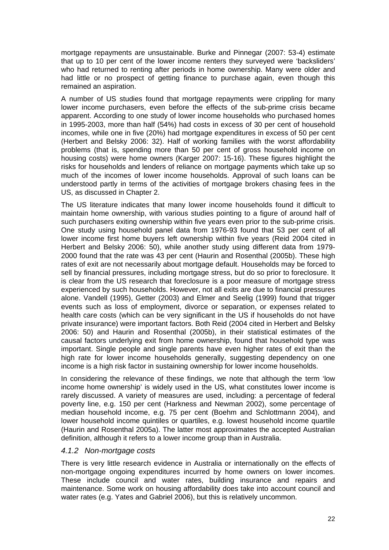<span id="page-26-0"></span>mortgage repayments are unsustainable. Burke and Pinnegar (2007: 53-4) estimate that up to 10 per cent of the lower income renters they surveyed were 'backsliders' who had returned to renting after periods in home ownership. Many were older and had little or no prospect of getting finance to purchase again, even though this remained an aspiration.

A number of US studies found that mortgage repayments were crippling for many lower income purchasers, even before the effects of the sub-prime crisis became apparent. According to one study of lower income households who purchased homes in 1995-2003, more than half (54%) had costs in excess of 30 per cent of household incomes, while one in five (20%) had mortgage expenditures in excess of 50 per cent (Herbert and Belsky 2006: 32). Half of working families with the worst affordability problems (that is, spending more than 50 per cent of gross household income on housing costs) were home owners (Karger 2007: 15-16). These figures highlight the risks for households and lenders of reliance on mortgage payments which take up so much of the incomes of lower income households. Approval of such loans can be understood partly in terms of the activities of mortgage brokers chasing fees in the US, as discussed in Chapter 2.

The US literature indicates that many lower income households found it difficult to maintain home ownership, with various studies pointing to a figure of around half of such purchasers exiting ownership within five years even prior to the sub-prime crisis. One study using household panel data from 1976-93 found that 53 per cent of all lower income first home buyers left ownership within five years (Reid 2004 cited in Herbert and Belsky 2006: 50), while another study using different data from 1979- 2000 found that the rate was 43 per cent (Haurin and Rosenthal (2005b). These high rates of exit are not necessarily about mortgage default. Households may be forced to sell by financial pressures, including mortgage stress, but do so prior to foreclosure. It is clear from the US research that foreclosure is a poor measure of mortgage stress experienced by such households. However, not all exits are due to financial pressures alone. Vandell (1995), Getter (2003) and Elmer and Seelig (1999) found that trigger events such as loss of employment, divorce or separation, or expenses related to health care costs (which can be very significant in the US if households do not have private insurance) were important factors. Both Reid (2004 cited in Herbert and Belsky 2006: 50) and Haurin and Rosenthal (2005b), in their statistical estimates of the causal factors underlying exit from home ownership, found that household type was important. Single people and single parents have even higher rates of exit than the high rate for lower income households generally, suggesting dependency on one income is a high risk factor in sustaining ownership for lower income households.

In considering the relevance of these findings, we note that although the term 'low income home ownership' is widely used in the US, what constitutes lower income is rarely discussed. A variety of measures are used, including: a percentage of federal poverty line, e.g. 150 per cent (Harkness and Newman 2002), some percentage of median household income, e.g. 75 per cent (Boehm and Schlottmann 2004), and lower household income quintiles or quartiles, e.g. lowest household income quartile (Haurin and Rosenthal 2005a). The latter most approximates the accepted Australian definition, although it refers to a lower income group than in Australia.

#### *4.1.2 Non-mortgage costs*

There is very little research evidence in Australia or internationally on the effects of non-mortgage ongoing expenditures incurred by home owners on lower incomes. These include council and water rates, building insurance and repairs and maintenance. Some work on housing affordability does take into account council and water rates (e.g. Yates and Gabriel 2006), but this is relatively uncommon.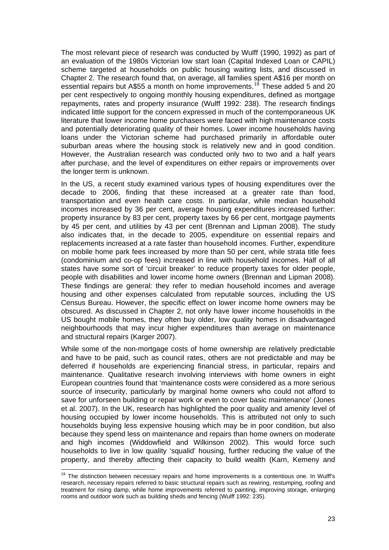The most relevant piece of research was conducted by Wulff (1990, 1992) as part of an evaluation of the 1980s Victorian low start loan (Capital Indexed Loan or CAPIL) scheme targeted at households on public housing waiting lists, and discussed in Chapter 2. The research found that, on average, all families spent A\$16 per month on essential repairs but A\$55 a month on home improvements.<sup>[19](#page-27-0)</sup> These added 5 and 20 per cent respectively to ongoing monthly housing expenditures, defined as mortgage repayments, rates and property insurance (Wulff 1992: 238). The research findings indicated little support for the concern expressed in much of the contemporaneous UK literature that lower income home purchasers were faced with high maintenance costs and potentially deteriorating quality of their homes. Lower income households having loans under the Victorian scheme had purchased primarily in affordable outer suburban areas where the housing stock is relatively new and in good condition. However, the Australian research was conducted only two to two and a half years after purchase, and the level of expenditures on either repairs or improvements over the longer term is unknown.

In the US, a recent study examined various types of housing expenditures over the decade to 2006, finding that these increased at a greater rate than food, transportation and even health care costs. In particular, while median household incomes increased by 36 per cent, average housing expenditures increased further: property insurance by 83 per cent, property taxes by 66 per cent, mortgage payments by 45 per cent, and utilities by 43 per cent (Brennan and Lipman 2008). The study also indicates that, in the decade to 2005, expenditure on essential repairs and replacements increased at a rate faster than household incomes. Further, expenditure on mobile home park fees increased by more than 50 per cent, while strata title fees (condominium and co-op fees) increased in line with household incomes. Half of all states have some sort of 'circuit breaker' to reduce property taxes for older people, people with disabilities and lower income home owners (Brennan and Lipman 2008). These findings are general: they refer to median household incomes and average housing and other expenses calculated from reputable sources, including the US Census Bureau. However, the specific effect on lower income home owners may be obscured. As discussed in Chapter 2, not only have lower income households in the US bought mobile homes, they often buy older, low quality homes in disadvantaged neighbourhoods that may incur higher expenditures than average on maintenance and structural repairs (Karger 2007).

While some of the non-mortgage costs of home ownership are relatively predictable and have to be paid, such as council rates, others are not predictable and may be deferred if households are experiencing financial stress, in particular, repairs and maintenance. Qualitative research involving interviews with home owners in eight European countries found that 'maintenance costs were considered as a more serious source of insecurity, particularly by marginal home owners who could not afford to save for unforseen building or repair work or even to cover basic maintenance' (Jones et al. 2007). In the UK, research has highlighted the poor quality and amenity level of housing occupied by lower income households. This is attributed not only to such households buying less expensive housing which may be in poor condition, but also because they spend less on maintenance and repairs than home owners on moderate and high incomes (Widdowfield and Wilkinson 2002). This would force such households to live in low quality 'squalid' housing, further reducing the value of the property, and thereby affecting their capacity to build wealth (Karn, Kemeny and

<span id="page-27-0"></span>  $19$  The distinction between necessary repairs and home improvements is a contentious one. In Wulff's research, necessary repairs referred to basic structural repairs such as rewiring, restumping, roofing and treatment for rising damp, while home improvements referred to painting, improving storage, enlarging rooms and outdoor work such as building sheds and fencing (Wulff 1992: 235).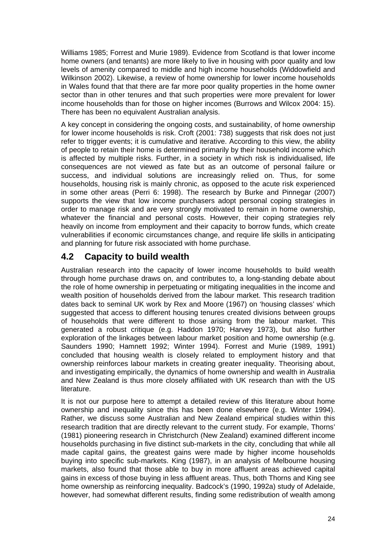<span id="page-28-0"></span>Williams 1985; Forrest and Murie 1989). Evidence from Scotland is that lower income home owners (and tenants) are more likely to live in housing with poor quality and low levels of amenity compared to middle and high income households (Widdowfield and Wilkinson 2002). Likewise, a review of home ownership for lower income households in Wales found that that there are far more poor quality properties in the home owner sector than in other tenures and that such properties were more prevalent for lower income households than for those on higher incomes (Burrows and Wilcox 2004: 15). There has been no equivalent Australian analysis.

A key concept in considering the ongoing costs, and sustainability, of home ownership for lower income households is risk. Croft (2001: 738) suggests that risk does not just refer to trigger events; it is cumulative and iterative. According to this view, the ability of people to retain their home is determined primarily by their household income which is affected by multiple risks. Further, in a society in which risk is individualised, life consequences are not viewed as fate but as an outcome of personal failure or success, and individual solutions are increasingly relied on. Thus, for some households, housing risk is mainly chronic, as opposed to the acute risk experienced in some other areas (Perri 6: 1998). The research by Burke and Pinnegar (2007) supports the view that low income purchasers adopt personal coping strategies in order to manage risk and are very strongly motivated to remain in home ownership, whatever the financial and personal costs. However, their coping strategies rely heavily on income from employment and their capacity to borrow funds, which create vulnerabilities if economic circumstances change, and require life skills in anticipating and planning for future risk associated with home purchase.

## **4.2 Capacity to build wealth**

Australian research into the capacity of lower income households to build wealth through home purchase draws on, and contributes to, a long-standing debate about the role of home ownership in perpetuating or mitigating inequalities in the income and wealth position of households derived from the labour market. This research tradition dates back to seminal UK work by Rex and Moore (1967) on 'housing classes' which suggested that access to different housing tenures created divisions between groups of households that were different to those arising from the labour market. This generated a robust critique (e.g. Haddon 1970; Harvey 1973), but also further exploration of the linkages between labour market position and home ownership (e.g. Saunders 1990; Hamnett 1992; Winter 1994). Forrest and Murie (1989, 1991) concluded that housing wealth is closely related to employment history and that ownership reinforces labour markets in creating greater inequality. Theorising about, and investigating empirically, the dynamics of home ownership and wealth in Australia and New Zealand is thus more closely affiliated with UK research than with the US literature.

It is not our purpose here to attempt a detailed review of this literature about home ownership and inequality since this has been done elsewhere (e.g. Winter 1994). Rather, we discuss some Australian and New Zealand empirical studies within this research tradition that are directly relevant to the current study. For example, Thorns' (1981) pioneering research in Christchurch (New Zealand) examined different income households purchasing in five distinct sub-markets in the city, concluding that while all made capital gains, the greatest gains were made by higher income households buying into specific sub-markets. King (1987), in an analysis of Melbourne housing markets, also found that those able to buy in more affluent areas achieved capital gains in excess of those buying in less affluent areas. Thus, both Thorns and King see home ownership as reinforcing inequality. Badcock's (1990, 1992a) study of Adelaide, however, had somewhat different results, finding some redistribution of wealth among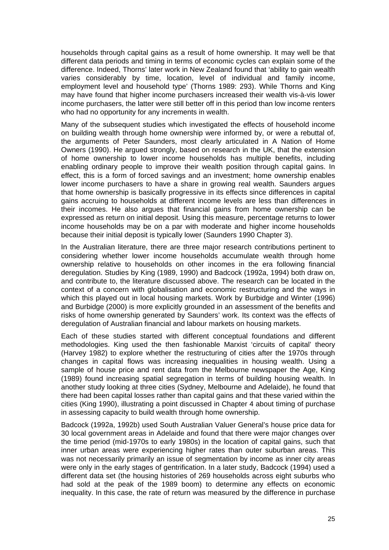households through capital gains as a result of home ownership. It may well be that different data periods and timing in terms of economic cycles can explain some of the difference. Indeed, Thorns' later work in New Zealand found that 'ability to gain wealth varies considerably by time, location, level of individual and family income, employment level and household type' (Thorns 1989: 293). While Thorns and King may have found that higher income purchasers increased their wealth vis-à-vis lower income purchasers, the latter were still better off in this period than low income renters who had no opportunity for any increments in wealth.

Many of the subsequent studies which investigated the effects of household income on building wealth through home ownership were informed by, or were a rebuttal of, the arguments of Peter Saunders, most clearly articulated in A Nation of Home Owners (1990). He argued strongly, based on research in the UK, that the extension of home ownership to lower income households has multiple benefits, including enabling ordinary people to improve their wealth position through capital gains. In effect, this is a form of forced savings and an investment; home ownership enables lower income purchasers to have a share in growing real wealth. Saunders argues that home ownership is basically progressive in its effects since differences in capital gains accruing to households at different income levels are less than differences in their incomes. He also argues that financial gains from home ownership can be expressed as return on initial deposit. Using this measure, percentage returns to lower income households may be on a par with moderate and higher income households because their initial deposit is typically lower (Saunders 1990 Chapter 3).

In the Australian literature, there are three major research contributions pertinent to considering whether lower income households accumulate wealth through home ownership relative to households on other incomes in the era following financial deregulation. Studies by King (1989, 1990) and Badcock (1992a, 1994) both draw on, and contribute to, the literature discussed above. The research can be located in the context of a concern with globalisation and economic restructuring and the ways in which this played out in local housing markets. Work by Burbidge and Winter (1996) and Burbidge (2000) is more explicitly grounded in an assessment of the benefits and risks of home ownership generated by Saunders' work. Its context was the effects of deregulation of Australian financial and labour markets on housing markets.

Each of these studies started with different conceptual foundations and different methodologies. King used the then fashionable Marxist 'circuits of capital' theory (Harvey 1982) to explore whether the restructuring of cities after the 1970s through changes in capital flows was increasing inequalities in housing wealth. Using a sample of house price and rent data from the Melbourne newspaper the Age, King (1989) found increasing spatial segregation in terms of building housing wealth. In another study looking at three cities (Sydney, Melbourne and Adelaide), he found that there had been capital losses rather than capital gains and that these varied within the cities (King 1990), illustrating a point discussed in Chapter 4 about timing of purchase in assessing capacity to build wealth through home ownership.

Badcock (1992a, 1992b) used South Australian Valuer General's house price data for 30 local government areas in Adelaide and found that there were major changes over the time period (mid-1970s to early 1980s) in the location of capital gains, such that inner urban areas were experiencing higher rates than outer suburban areas. This was not necessarily primarily an issue of segmentation by income as inner city areas were only in the early stages of gentrification. In a later study, Badcock (1994) used a different data set (the housing histories of 269 households across eight suburbs who had sold at the peak of the 1989 boom) to determine any effects on economic inequality. In this case, the rate of return was measured by the difference in purchase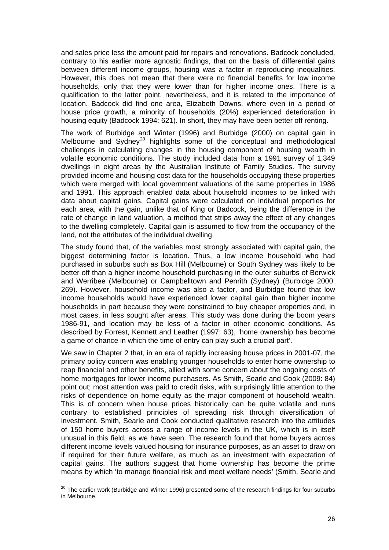and sales price less the amount paid for repairs and renovations. Badcock concluded, contrary to his earlier more agnostic findings, that on the basis of differential gains between different income groups, housing was a factor in reproducing inequalities. However, this does not mean that there were no financial benefits for low income households, only that they were lower than for higher income ones. There is a qualification to the latter point, nevertheless, and it is related to the importance of location. Badcock did find one area, Elizabeth Downs, where even in a period of house price growth, a minority of households (20%) experienced deterioration in housing equity (Badcock 1994: 621). In short, they may have been better off renting.

The work of Burbidge and Winter (1996) and Burbidge (2000) on capital gain in Melbourne and Sydney<sup>[20](#page-30-0)</sup> highlights some of the conceptual and methodological challenges in calculating changes in the housing component of housing wealth in volatile economic conditions. The study included data from a 1991 survey of 1,349 dwellings in eight areas by the Australian Institute of Family Studies. The survey provided income and housing cost data for the households occupying these properties which were merged with local government valuations of the same properties in 1986 and 1991. This approach enabled data about household incomes to be linked with data about capital gains. Capital gains were calculated on individual properties for each area, with the gain, unlike that of King or Badcock, being the difference in the rate of change in land valuation, a method that strips away the effect of any changes to the dwelling completely. Capital gain is assumed to flow from the occupancy of the land, not the attributes of the individual dwelling.

The study found that, of the variables most strongly associated with capital gain, the biggest determining factor is location. Thus, a low income household who had purchased in suburbs such as Box Hill (Melbourne) or South Sydney was likely to be better off than a higher income household purchasing in the outer suburbs of Berwick and Werribee (Melbourne) or Campbelltown and Penrith (Sydney) (Burbidge 2000: 269). However, household income was also a factor, and Burbidge found that low income households would have experienced lower capital gain than higher income households in part because they were constrained to buy cheaper properties and, in most cases, in less sought after areas. This study was done during the boom years 1986-91, and location may be less of a factor in other economic conditions. As described by Forrest, Kennett and Leather (1997: 63), 'home ownership has become a game of chance in which the time of entry can play such a crucial part'.

We saw in Chapter 2 that, in an era of rapidly increasing house prices in 2001-07, the primary policy concern was enabling younger households to enter home ownership to reap financial and other benefits, allied with some concern about the ongoing costs of home mortgages for lower income purchasers. As Smith, Searle and Cook (2009: 84) point out; most attention was paid to credit risks, with surprisingly little attention to the risks of dependence on home equity as the major component of household wealth. This is of concern when house prices historically can be quite volatile and runs contrary to established principles of spreading risk through diversification of investment. Smith, Searle and Cook conducted qualitative research into the attitudes of 150 home buyers across a range of income levels in the UK, which is in itself unusual in this field, as we have seen. The research found that home buyers across different income levels valued housing for insurance purposes, as an asset to draw on if required for their future welfare, as much as an investment with expectation of capital gains. The authors suggest that home ownership has become the prime means by which 'to manage financial risk and meet welfare needs' (Smith, Searle and

 $\overline{\phantom{a}}$ 

<span id="page-30-0"></span> $^{20}$  The earlier work (Burbidge and Winter 1996) presented some of the research findings for four suburbs in Melbourne.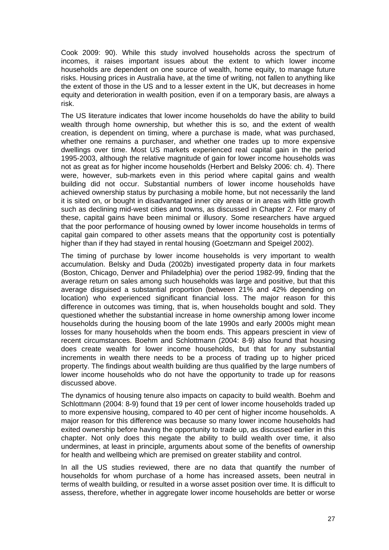Cook 2009: 90). While this study involved households across the spectrum of incomes, it raises important issues about the extent to which lower income households are dependent on one source of wealth, home equity, to manage future risks. Housing prices in Australia have, at the time of writing, not fallen to anything like the extent of those in the US and to a lesser extent in the UK, but decreases in home equity and deterioration in wealth position, even if on a temporary basis, are always a risk.

The US literature indicates that lower income households do have the ability to build wealth through home ownership, but whether this is so, and the extent of wealth creation, is dependent on timing, where a purchase is made, what was purchased, whether one remains a purchaser, and whether one trades up to more expensive dwellings over time. Most US markets experienced real capital gain in the period 1995-2003, although the relative magnitude of gain for lower income households was not as great as for higher income households (Herbert and Belsky 2006: ch. 4). There were, however, sub-markets even in this period where capital gains and wealth building did not occur. Substantial numbers of lower income households have achieved ownership status by purchasing a mobile home, but not necessarily the land it is sited on, or bought in disadvantaged inner city areas or in areas with little growth such as declining mid-west cities and towns, as discussed in Chapter 2. For many of these, capital gains have been minimal or illusory. Some researchers have argued that the poor performance of housing owned by lower income households in terms of capital gain compared to other assets means that the opportunity cost is potentially higher than if they had stayed in rental housing (Goetzmann and Speigel 2002).

The timing of purchase by lower income households is very important to wealth accumulation. Belsky and Duda (2002b) investigated property data in four markets (Boston, Chicago, Denver and Philadelphia) over the period 1982-99, finding that the average return on sales among such households was large and positive, but that this average disguised a substantial proportion (between 21% and 42% depending on location) who experienced significant financial loss. The major reason for this difference in outcomes was timing, that is, when households bought and sold. They questioned whether the substantial increase in home ownership among lower income households during the housing boom of the late 1990s and early 2000s might mean losses for many households when the boom ends. This appears prescient in view of recent circumstances. Boehm and Schlottmann (2004: 8-9) also found that housing does create wealth for lower income households, but that for any substantial increments in wealth there needs to be a process of trading up to higher priced property. The findings about wealth building are thus qualified by the large numbers of lower income households who do not have the opportunity to trade up for reasons discussed above.

The dynamics of housing tenure also impacts on capacity to build wealth. Boehm and Schlottmann (2004: 8-9) found that 19 per cent of lower income households traded up to more expensive housing, compared to 40 per cent of higher income households. A major reason for this difference was because so many lower income households had exited ownership before having the opportunity to trade up, as discussed earlier in this chapter. Not only does this negate the ability to build wealth over time, it also undermines, at least in principle, arguments about some of the benefits of ownership for health and wellbeing which are premised on greater stability and control.

In all the US studies reviewed, there are no data that quantify the number of households for whom purchase of a home has increased assets, been neutral in terms of wealth building, or resulted in a worse asset position over time. It is difficult to assess, therefore, whether in aggregate lower income households are better or worse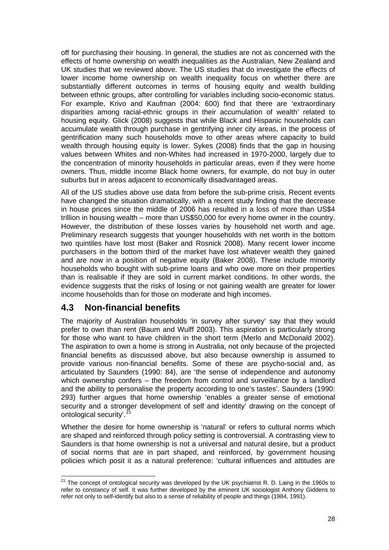<span id="page-32-0"></span>off for purchasing their housing. In general, the studies are not as concerned with the effects of home ownership on wealth inequalities as the Australian, New Zealand and UK studies that we reviewed above. The US studies that do investigate the effects of lower income home ownership on wealth inequality focus on whether there are substantially different outcomes in terms of housing equity and wealth building between ethnic groups, after controlling for variables including socio-economic status. For example, Krivo and Kaufman (2004: 600) find that there are 'extraordinary disparities among racial-ethnic groups in their accumulation of wealth' related to housing equity. Glick (2008) suggests that while Black and Hispanic households can accumulate wealth through purchase in gentrifying inner city areas, in the process of gentrification many such households move to other areas where capacity to build wealth through housing equity is lower. Sykes (2008) finds that the gap in housing values between Whites and non-Whites had increased in 1970-2000, largely due to the concentration of minority households in particular areas, even if they were home owners. Thus, middle income Black home owners, for example, do not buy in outer suburbs but in areas adjacent to economically disadvantaged areas.

All of the US studies above use data from before the sub-prime crisis. Recent events have changed the situation dramatically, with a recent study finding that the decrease in house prices since the middle of 2006 has resulted in a loss of more than US\$4 trillion in housing wealth – more than US\$50,000 for every home owner in the country. However, the distribution of these losses varies by household net worth and age. Preliminary research suggests that younger households with net worth in the bottom two quintiles have lost most (Baker and Rosnick 2008). Many recent lower income purchasers in the bottom third of the market have lost whatever wealth they gained and are now in a position of negative equity (Baker 2008). These include minority households who bought with sub-prime loans and who owe more on their properties than is realisable if they are sold in current market conditions. In other words, the evidence suggests that the risks of losing or not gaining wealth are greater for lower income households than for those on moderate and high incomes.

## **4.3 Non-financial benefits**

The majority of Australian households 'in survey after survey' say that they would prefer to own than rent (Baum and Wulff 2003). This aspiration is particularly strong for those who want to have children in the short term (Merlo and McDonald 2002). The aspiration to own a home is strong in Australia, not only because of the projected financial benefits as discussed above, but also because ownership is assumed to provide various non-financial benefits. Some of these are psycho-social and, as articulated by Saunders (1990: 84), are 'the sense of independence and autonomy which ownership confers – the freedom from control and surveillance by a landlord and the ability to personalise the property according to one's tastes'. Saunders (1990: 293) further argues that home ownership 'enables a greater sense of emotional security and a stronger development of self and identity' drawing on the concept of ontological security'.<sup>[21](#page-32-1)</sup>

Whether the desire for home ownership is 'natural' or refers to cultural norms which are shaped and reinforced through policy setting is controversial. A contrasting view to Saunders is that home ownership is not a universal and natural desire, but a product of social norms that are in part shaped, and reinforced, by government housing policies which posit it as a natural preference: 'cultural influences and attitudes are

<span id="page-32-1"></span>  $21$  The concept of ontological security was developed by the UK psychiatrist R. D. Laing in the 1960s to refer to constancy of self. It was further developed by the eminent UK sociologist Anthony Giddens to refer not only to self-identify but also to a sense of reliability of people and things (1984, 1991).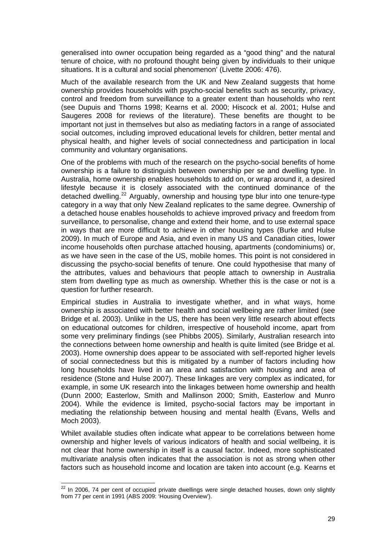generalised into owner occupation being regarded as a "good thing" and the natural tenure of choice, with no profound thought being given by individuals to their unique situations. It is a cultural and social phenomenon' (Livette 2006: 476).

Much of the available research from the UK and New Zealand suggests that home ownership provides households with psycho-social benefits such as security, privacy, control and freedom from surveillance to a greater extent than households who rent (see Dupuis and Thorns 1998; Kearns et al. 2000; Hiscock et al. 2001; Hulse and Saugeres 2008 for reviews of the literature). These benefits are thought to be important not just in themselves but also as mediating factors in a range of associated social outcomes, including improved educational levels for children, better mental and physical health, and higher levels of social connectedness and participation in local community and voluntary organisations.

One of the problems with much of the research on the psycho-social benefits of home ownership is a failure to distinguish between ownership per se and dwelling type. In Australia, home ownership enables households to add on, or wrap around it, a desired lifestyle because it is closely associated with the continued dominance of the detached dwelling.<sup>[22](#page-33-0)</sup> Arguably, ownership and housing type blur into one tenure-type category in a way that only New Zealand replicates to the same degree. Ownership of a detached house enables households to achieve improved privacy and freedom from surveillance, to personalise, change and extend their home, and to use external space in ways that are more difficult to achieve in other housing types (Burke and Hulse 2009). In much of Europe and Asia, and even in many US and Canadian cities, lower income households often purchase attached housing, apartments (condominiums) or, as we have seen in the case of the US, mobile homes. This point is not considered in discussing the psycho-social benefits of tenure. One could hypothesise that many of the attributes, values and behaviours that people attach to ownership in Australia stem from dwelling type as much as ownership. Whether this is the case or not is a question for further research.

Empirical studies in Australia to investigate whether, and in what ways, home ownership is associated with better health and social wellbeing are rather limited (see Bridge et al. 2003). Unlike in the US, there has been very little research about effects on educational outcomes for children, irrespective of household income, apart from some very preliminary findings (see Phibbs 2005). Similarly, Australian research into the connections between home ownership and health is quite limited (see Bridge et al. 2003). Home ownership does appear to be associated with self-reported higher levels of social connectedness but this is mitigated by a number of factors including how long households have lived in an area and satisfaction with housing and area of residence (Stone and Hulse 2007). These linkages are very complex as indicated, for example, in some UK research into the linkages between home ownership and health (Dunn 2000; Easterlow, Smith and Mallinson 2000; Smith, Easterlow and Munro 2004). While the evidence is limited, psycho-social factors may be important in mediating the relationship between housing and mental health (Evans, Wells and Moch 2003).

Whilet available studies often indicate what appear to be correlations between home ownership and higher levels of various indicators of health and social wellbeing, it is not clear that home ownership in itself is a causal factor. Indeed, more sophisticated multivariate analysis often indicates that the association is not as strong when other factors such as household income and location are taken into account (e.g. Kearns et

<span id="page-33-0"></span>  $22$  In 2006, 74 per cent of occupied private dwellings were single detached houses, down only slightly from 77 per cent in 1991 (ABS 2009: 'Housing Overview').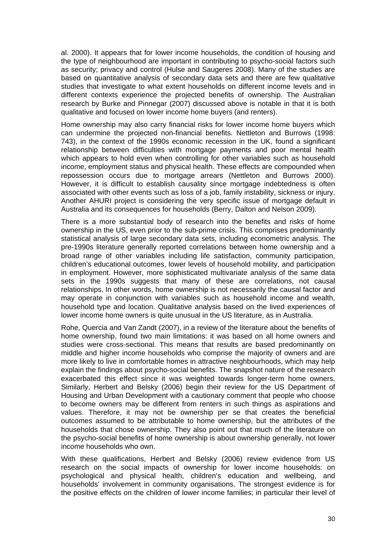al. 2000). It appears that for lower income households, the condition of housing and the type of neighbourhood are important in contributing to psycho-social factors such as security; privacy and control (Hulse and Saugeres 2008). Many of the studies are based on quantitative analysis of secondary data sets and there are few qualitative studies that investigate to what extent households on different income levels and in different contexts experience the projected benefits of ownership. The Australian research by Burke and Pinnegar (2007) discussed above is notable in that it is both qualitative and focused on lower income home buyers (and renters).

Home ownership may also carry financial risks for lower income home buyers which can undermine the projected non-financial benefits. Nettleton and Burrows (1998: 743), in the context of the 1990s economic recession in the UK, found a significant relationship between difficulties with mortgage payments and poor mental health which appears to hold even when controlling for other variables such as household income, employment status and physical health. These effects are compounded when repossession occurs due to mortgage arrears (Nettleton and Burrows 2000). However, it is difficult to establish causality since mortgage indebtedness is often associated with other events such as loss of a job, family instability, sickness or injury. Another AHURI project is considering the very specific issue of mortgage default in Australia and its consequences for households (Berry, Dalton and Nelson 2009).

There is a more substantial body of research into the benefits and risks of home ownership in the US, even prior to the sub-prime crisis. This comprises predominantly statistical analysis of large secondary data sets, including econometric analysis. The pre-1990s literature generally reported correlations between home ownership and a broad range of other variables including life satisfaction, community participation, children's educational outcomes, lower levels of household mobility, and participation in employment. However, more sophisticated multivariate analysis of the same data sets in the 1990s suggests that many of these are correlations, not causal relationships. In other words, home ownership is not necessarily the causal factor and may operate in conjunction with variables such as household income and wealth, household type and location. Qualitative analysis based on the lived experiences of lower income home owners is quite unusual in the US literature, as in Australia.

Rohe, Quercia and Van Zandt (2007), in a review of the literature about the benefits of home ownership, found two main limitations: it was based on all home owners and studies were cross-sectional. This means that results are based predominantly on middle and higher income households who comprise the majority of owners and are more likely to live in comfortable homes in attractive neighbourhoods, which may help explain the findings about psycho-social benefits. The snapshot nature of the research exacerbated this effect since it was weighted towards longer-term home owners. Similarly, Herbert and Belsky (2006) begin their review for the US Department of Housing and Urban Development with a cautionary comment that people who choose to become owners may be different from renters in such things as aspirations and values. Therefore, it may not be ownership per se that creates the beneficial outcomes assumed to be attributable to home ownership, but the attributes of the households that chose ownership. They also point out that much of the literature on the psycho-social benefits of home ownership is about ownership generally, not lower income households who own.

With these qualifications, Herbert and Belsky (2006) review evidence from US research on the social impacts of ownership for lower income households: on psychological and physical health, children's education and wellbeing, and households' involvement in community organisations. The strongest evidence is for the positive effects on the children of lower income families; in particular their level of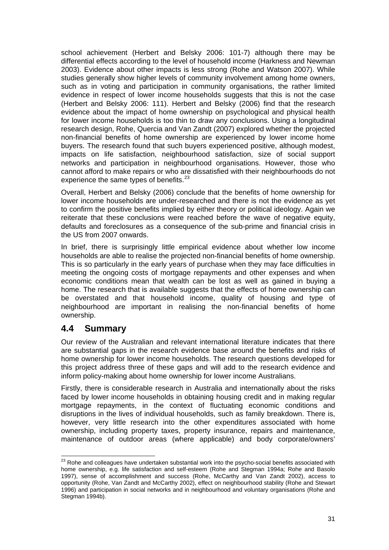<span id="page-35-0"></span>school achievement (Herbert and Belsky 2006: 101-7) although there may be differential effects according to the level of household income (Harkness and Newman 2003). Evidence about other impacts is less strong (Rohe and Watson 2007). While studies generally show higher levels of community involvement among home owners, such as in voting and participation in community organisations, the rather limited evidence in respect of lower income households suggests that this is not the case (Herbert and Belsky 2006: 111). Herbert and Belsky (2006) find that the research evidence about the impact of home ownership on psychological and physical health for lower income households is too thin to draw any conclusions. Using a longitudinal research design, Rohe, Quercia and Van Zandt (2007) explored whether the projected non-financial benefits of home ownership are experienced by lower income home buyers. The research found that such buyers experienced positive, although modest, impacts on life satisfaction, neighbourhood satisfaction, size of social support networks and participation in neighbourhood organisations. However, those who cannot afford to make repairs or who are dissatisfied with their neighbourhoods do not experience the same types of benefits.<sup>[23](#page-35-1)</sup>

Overall, Herbert and Belsky (2006) conclude that the benefits of home ownership for lower income households are under-researched and there is not the evidence as yet to confirm the positive benefits implied by either theory or political ideology. Again we reiterate that these conclusions were reached before the wave of negative equity, defaults and foreclosures as a consequence of the sub-prime and financial crisis in the US from 2007 onwards.

In brief, there is surprisingly little empirical evidence about whether low income households are able to realise the projected non-financial benefits of home ownership. This is so particularly in the early years of purchase when they may face difficulties in meeting the ongoing costs of mortgage repayments and other expenses and when economic conditions mean that wealth can be lost as well as gained in buying a home. The research that is available suggests that the effects of home ownership can be overstated and that household income, quality of housing and type of neighbourhood are important in realising the non-financial benefits of home ownership.

### **4.4 Summary**

Our review of the Australian and relevant international literature indicates that there are substantial gaps in the research evidence base around the benefits and risks of home ownership for lower income households. The research questions developed for this project address three of these gaps and will add to the research evidence and inform policy-making about home ownership for lower income Australians.

Firstly, there is considerable research in Australia and internationally about the risks faced by lower income households in obtaining housing credit and in making regular mortgage repayments, in the context of fluctuating economic conditions and disruptions in the lives of individual households, such as family breakdown. There is, however, very little research into the other expenditures associated with home ownership, including property taxes, property insurance, repairs and maintenance, maintenance of outdoor areas (where applicable) and body corporate/owners'

<span id="page-35-1"></span> $^{23}$  Rohe and colleagues have undertaken substantial work into the psycho-social benefits associated with home ownership, e.g. life satisfaction and self-esteem (Rohe and Stegman 1994a; Rohe and Basolo 1997), sense of accomplishment and success (Rohe, McCarthy and Van Zandt 2002), access to opportunity (Rohe, Van Zandt and McCarthy 2002), effect on neighbourhood stability (Rohe and Stewart 1996) and participation in social networks and in neighbourhood and voluntary organisations (Rohe and Stegman 1994b).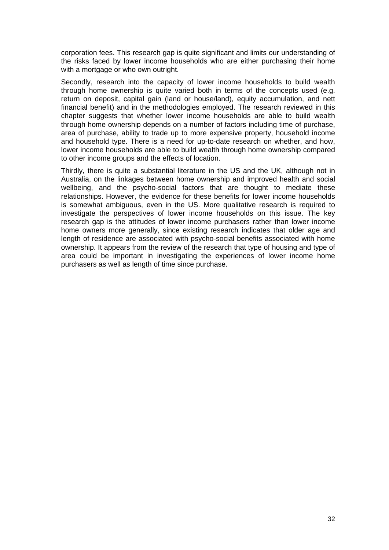corporation fees. This research gap is quite significant and limits our understanding of the risks faced by lower income households who are either purchasing their home with a mortgage or who own outright.

Secondly, research into the capacity of lower income households to build wealth through home ownership is quite varied both in terms of the concepts used (e.g. return on deposit, capital gain (land or house/land), equity accumulation, and nett financial benefit) and in the methodologies employed. The research reviewed in this chapter suggests that whether lower income households are able to build wealth through home ownership depends on a number of factors including time of purchase, area of purchase, ability to trade up to more expensive property, household income and household type. There is a need for up-to-date research on whether, and how, lower income households are able to build wealth through home ownership compared to other income groups and the effects of location.

Thirdly, there is quite a substantial literature in the US and the UK, although not in Australia, on the linkages between home ownership and improved health and social wellbeing, and the psycho-social factors that are thought to mediate these relationships. However, the evidence for these benefits for lower income households is somewhat ambiguous, even in the US. More qualitative research is required to investigate the perspectives of lower income households on this issue. The key research gap is the attitudes of lower income purchasers rather than lower income home owners more generally, since existing research indicates that older age and length of residence are associated with psycho-social benefits associated with home ownership. It appears from the review of the research that type of housing and type of area could be important in investigating the experiences of lower income home purchasers as well as length of time since purchase.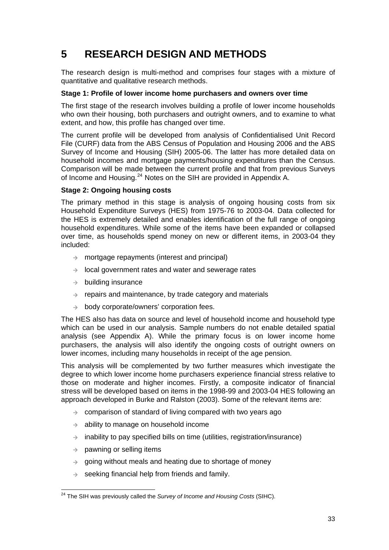# <span id="page-37-0"></span>**5 RESEARCH DESIGN AND METHODS**

The research design is multi-method and comprises four stages with a mixture of quantitative and qualitative research methods.

#### **Stage 1: Profile of lower income home purchasers and owners over time**

The first stage of the research involves building a profile of lower income households who own their housing, both purchasers and outright owners, and to examine to what extent, and how, this profile has changed over time.

The current profile will be developed from analysis of Confidentialised Unit Record File (CURF) data from the ABS Census of Population and Housing 2006 and the ABS Survey of Income and Housing (SIH) 2005-06. The latter has more detailed data on household incomes and mortgage payments/housing expenditures than the Census. Comparison will be made between the current profile and that from previous Surveys of Income and Housing.[24](#page-37-1) Notes on the SIH are provided in Appendix A.

#### **Stage 2: Ongoing housing costs**

The primary method in this stage is analysis of ongoing housing costs from six Household Expenditure Surveys (HES) from 1975-76 to 2003-04. Data collected for the HES is extremely detailed and enables identification of the full range of ongoing household expenditures. While some of the items have been expanded or collapsed over time, as households spend money on new or different items, in 2003-04 they included:

- $\rightarrow$  mortgage repayments (interest and principal)
- $\rightarrow$  local government rates and water and sewerage rates
- $\rightarrow$  building insurance
- $\rightarrow$  repairs and maintenance, by trade category and materials
- $\rightarrow$  body corporate/owners' corporation fees.

The HES also has data on source and level of household income and household type which can be used in our analysis. Sample numbers do not enable detailed spatial analysis (see Appendix A). While the primary focus is on lower income home purchasers, the analysis will also identify the ongoing costs of outright owners on lower incomes, including many households in receipt of the age pension.

This analysis will be complemented by two further measures which investigate the degree to which lower income home purchasers experience financial stress relative to those on moderate and higher incomes. Firstly, a composite indicator of financial stress will be developed based on items in the 1998-99 and 2003-04 HES following an approach developed in Burke and Ralston (2003). Some of the relevant items are:

- $\rightarrow$  comparison of standard of living compared with two years ago
- $\rightarrow$  ability to manage on household income
- $\rightarrow$  inability to pay specified bills on time (utilities, registration/insurance)
- $\rightarrow$  pawning or selling items
- $\rightarrow$  going without meals and heating due to shortage of money
- $\rightarrow$  seeking financial help from friends and family.

<span id="page-37-1"></span> 24 The SIH was previously called the *Survey of Income and Housing Costs* (SIHC).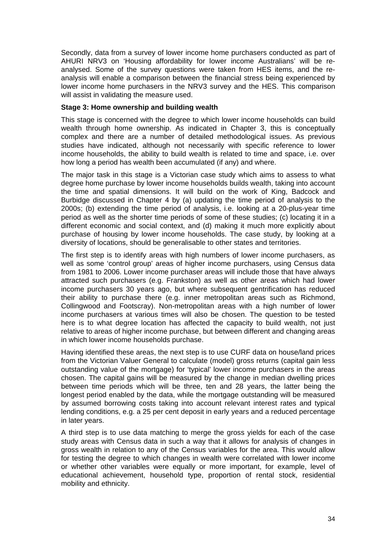Secondly, data from a survey of lower income home purchasers conducted as part of AHURI NRV3 on 'Housing affordability for lower income Australians' will be reanalysed. Some of the survey questions were taken from HES items, and the reanalysis will enable a comparison between the financial stress being experienced by lower income home purchasers in the NRV3 survey and the HES. This comparison will assist in validating the measure used.

#### **Stage 3: Home ownership and building wealth**

This stage is concerned with the degree to which lower income households can build wealth through home ownership. As indicated in Chapter 3, this is conceptually complex and there are a number of detailed methodological issues. As previous studies have indicated, although not necessarily with specific reference to lower income households, the ability to build wealth is related to time and space, i.e. over how long a period has wealth been accumulated (if any) and where.

The major task in this stage is a Victorian case study which aims to assess to what degree home purchase by lower income households builds wealth, taking into account the time and spatial dimensions. It will build on the work of King, Badcock and Burbidge discussed in Chapter 4 by (a) updating the time period of analysis to the 2000s; (b) extending the time period of analysis, i.e. looking at a 20-plus-year time period as well as the shorter time periods of some of these studies; (c) locating it in a different economic and social context, and (d) making it much more explicitly about purchase of housing by lower income households. The case study, by looking at a diversity of locations, should be generalisable to other states and territories.

The first step is to identify areas with high numbers of lower income purchasers, as well as some 'control group' areas of higher income purchasers, using Census data from 1981 to 2006. Lower income purchaser areas will include those that have always attracted such purchasers (e.g. Frankston) as well as other areas which had lower income purchasers 30 years ago, but where subsequent gentrification has reduced their ability to purchase there (e.g. inner metropolitan areas such as Richmond, Collingwood and Footscray). Non-metropolitan areas with a high number of lower income purchasers at various times will also be chosen. The question to be tested here is to what degree location has affected the capacity to build wealth, not just relative to areas of higher income purchase, but between different and changing areas in which lower income households purchase.

Having identified these areas, the next step is to use CURF data on house/land prices from the Victorian Valuer General to calculate (model) gross returns (capital gain less outstanding value of the mortgage) for 'typical' lower income purchasers in the areas chosen. The capital gains will be measured by the change in median dwelling prices between time periods which will be three, ten and 28 years, the latter being the longest period enabled by the data, while the mortgage outstanding will be measured by assumed borrowing costs taking into account relevant interest rates and typical lending conditions, e.g. a 25 per cent deposit in early years and a reduced percentage in later years.

A third step is to use data matching to merge the gross yields for each of the case study areas with Census data in such a way that it allows for analysis of changes in gross wealth in relation to any of the Census variables for the area. This would allow for testing the degree to which changes in wealth were correlated with lower income or whether other variables were equally or more important, for example, level of educational achievement, household type, proportion of rental stock, residential mobility and ethnicity.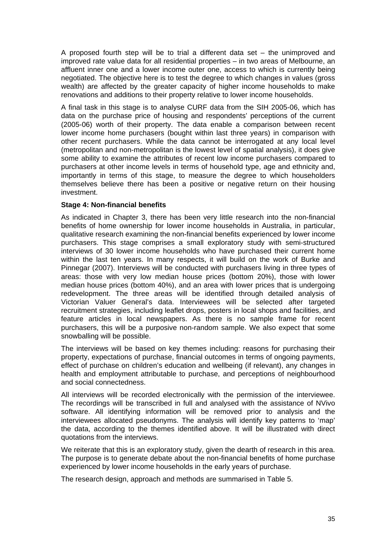A proposed fourth step will be to trial a different data set – the unimproved and improved rate value data for all residential properties – in two areas of Melbourne, an affluent inner one and a lower income outer one, access to which is currently being negotiated. The objective here is to test the degree to which changes in values (gross wealth) are affected by the greater capacity of higher income households to make renovations and additions to their property relative to lower income households.

A final task in this stage is to analyse CURF data from the SIH 2005-06, which has data on the purchase price of housing and respondents' perceptions of the current (2005-06) worth of their property. The data enable a comparison between recent lower income home purchasers (bought within last three years) in comparison with other recent purchasers. While the data cannot be interrogated at any local level (metropolitan and non-metropolitan is the lowest level of spatial analysis), it does give some ability to examine the attributes of recent low income purchasers compared to purchasers at other income levels in terms of household type, age and ethnicity and, importantly in terms of this stage, to measure the degree to which householders themselves believe there has been a positive or negative return on their housing investment.

#### **Stage 4: Non-financial benefits**

As indicated in Chapter 3, there has been very little research into the non-financial benefits of home ownership for lower income households in Australia, in particular, qualitative research examining the non-financial benefits experienced by lower income purchasers. This stage comprises a small exploratory study with semi-structured interviews of 30 lower income households who have purchased their current home within the last ten years. In many respects, it will build on the work of Burke and Pinnegar (2007). Interviews will be conducted with purchasers living in three types of areas: those with very low median house prices (bottom 20%), those with lower median house prices (bottom 40%), and an area with lower prices that is undergoing redevelopment. The three areas will be identified through detailed analysis of Victorian Valuer General's data. Interviewees will be selected after targeted recruitment strategies, including leaflet drops, posters in local shops and facilities, and feature articles in local newspapers. As there is no sample frame for recent purchasers, this will be a purposive non-random sample. We also expect that some snowballing will be possible.

The interviews will be based on key themes including: reasons for purchasing their property, expectations of purchase, financial outcomes in terms of ongoing payments, effect of purchase on children's education and wellbeing (if relevant), any changes in health and employment attributable to purchase, and perceptions of neighbourhood and social connectedness.

All interviews will be recorded electronically with the permission of the interviewee. The recordings will be transcribed in full and analysed with the assistance of NVivo software. All identifying information will be removed prior to analysis and the interviewees allocated pseudonyms. The analysis will identify key patterns to 'map' the data, according to the themes identified above. It will be illustrated with direct quotations from the interviews.

We reiterate that this is an exploratory study, given the dearth of research in this area. The purpose is to generate debate about the non-financial benefits of home purchase experienced by lower income households in the early years of purchase.

The research design, approach and methods are summarised in Table 5.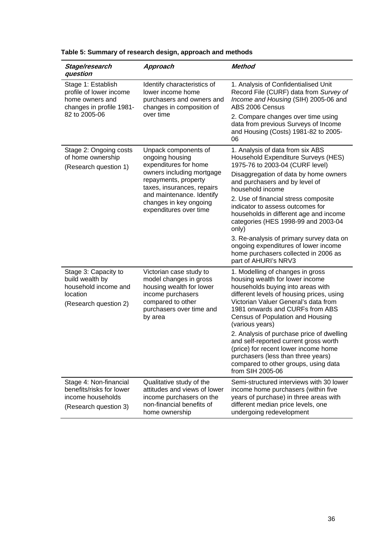| Stage/research<br>question                                                                           | Approach                                                                                                                                                                                                                             | Method                                                                                                                                                                                                                                                                                                                                                                                                                                                                                                                              |
|------------------------------------------------------------------------------------------------------|--------------------------------------------------------------------------------------------------------------------------------------------------------------------------------------------------------------------------------------|-------------------------------------------------------------------------------------------------------------------------------------------------------------------------------------------------------------------------------------------------------------------------------------------------------------------------------------------------------------------------------------------------------------------------------------------------------------------------------------------------------------------------------------|
| Stage 1: Establish<br>profile of lower income<br>home owners and<br>changes in profile 1981-         | Identify characteristics of<br>lower income home<br>purchasers and owners and<br>changes in composition of<br>over time                                                                                                              | 1. Analysis of Confidentialised Unit<br>Record File (CURF) data from Survey of<br>Income and Housing (SIH) 2005-06 and<br>ABS 2006 Census                                                                                                                                                                                                                                                                                                                                                                                           |
| 82 to 2005-06                                                                                        |                                                                                                                                                                                                                                      | 2. Compare changes over time using<br>data from previous Surveys of Income<br>and Housing (Costs) 1981-82 to 2005-<br>06                                                                                                                                                                                                                                                                                                                                                                                                            |
| Stage 2: Ongoing costs<br>of home ownership<br>(Research question 1)                                 | Unpack components of<br>ongoing housing<br>expenditures for home<br>owners including mortgage<br>repayments, property<br>taxes, insurances, repairs<br>and maintenance. Identify<br>changes in key ongoing<br>expenditures over time | 1. Analysis of data from six ABS<br>Household Expenditure Surveys (HES)<br>1975-76 to 2003-04 (CURF level)<br>Disaggregation of data by home owners<br>and purchasers and by level of<br>household income<br>2. Use of financial stress composite<br>indicator to assess outcomes for<br>households in different age and income<br>categories (HES 1998-99 and 2003-04<br>only)<br>3. Re-analysis of primary survey data on<br>ongoing expenditures of lower income<br>home purchasers collected in 2006 as<br>part of AHURI's NRV3 |
| Stage 3: Capacity to<br>build wealth by<br>household income and<br>location<br>(Research question 2) | Victorian case study to<br>model changes in gross<br>housing wealth for lower<br>income purchasers<br>compared to other<br>purchasers over time and<br>by area                                                                       | 1. Modelling of changes in gross<br>housing wealth for lower income<br>households buying into areas with<br>different levels of housing prices, using<br>Victorian Valuer General's data from<br>1981 onwards and CURFs from ABS<br>Census of Population and Housing<br>(various years)<br>2. Analysis of purchase price of dwelling<br>and self-reported current gross worth<br>(price) for recent lower income home<br>purchasers (less than three years)<br>compared to other groups, using data<br>from SIH 2005-06             |
| Stage 4: Non-financial<br>benefits/risks for lower<br>income households<br>(Research question 3)     | Qualitative study of the<br>attitudes and views of lower<br>income purchasers on the<br>non-financial benefits of<br>home ownership                                                                                                  | Semi-structured interviews with 30 lower<br>income home purchasers (within five<br>years of purchase) in three areas with<br>different median price levels, one<br>undergoing redevelopment                                                                                                                                                                                                                                                                                                                                         |

<span id="page-40-0"></span>**Table 5: Summary of research design, approach and methods**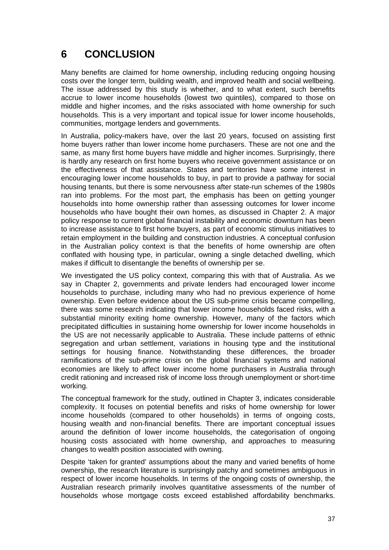# <span id="page-41-0"></span>**6 CONCLUSION**

Many benefits are claimed for home ownership, including reducing ongoing housing costs over the longer term, building wealth, and improved health and social wellbeing. The issue addressed by this study is whether, and to what extent, such benefits accrue to lower income households (lowest two quintiles), compared to those on middle and higher incomes, and the risks associated with home ownership for such households. This is a very important and topical issue for lower income households, communities, mortgage lenders and governments.

In Australia, policy-makers have, over the last 20 years, focused on assisting first home buyers rather than lower income home purchasers. These are not one and the same, as many first home buyers have middle and higher incomes. Surprisingly, there is hardly any research on first home buyers who receive government assistance or on the effectiveness of that assistance. States and territories have some interest in encouraging lower income households to buy, in part to provide a pathway for social housing tenants, but there is some nervousness after state-run schemes of the 1980s ran into problems. For the most part, the emphasis has been on getting younger households into home ownership rather than assessing outcomes for lower income households who have bought their own homes, as discussed in Chapter 2. A major policy response to current global financial instability and economic downturn has been to increase assistance to first home buyers, as part of economic stimulus initiatives to retain employment in the building and construction industries. A conceptual confusion in the Australian policy context is that the benefits of home ownership are often conflated with housing type, in particular, owning a single detached dwelling, which makes if difficult to disentangle the benefits of ownership per se.

We investigated the US policy context, comparing this with that of Australia. As we say in Chapter 2, governments and private lenders had encouraged lower income households to purchase, including many who had no previous experience of home ownership. Even before evidence about the US sub-prime crisis became compelling, there was some research indicating that lower income households faced risks, with a substantial minority exiting home ownership. However, many of the factors which precipitated difficulties in sustaining home ownership for lower income households in the US are not necessarily applicable to Australia. These include patterns of ethnic segregation and urban settlement, variations in housing type and the institutional settings for housing finance. Notwithstanding these differences, the broader ramifications of the sub-prime crisis on the global financial systems and national economies are likely to affect lower income home purchasers in Australia through credit rationing and increased risk of income loss through unemployment or short-time working.

The conceptual framework for the study, outlined in Chapter 3, indicates considerable complexity. It focuses on potential benefits and risks of home ownership for lower income households (compared to other households) in terms of ongoing costs, housing wealth and non-financial benefits. There are important conceptual issues around the definition of lower income households, the categorisation of ongoing housing costs associated with home ownership, and approaches to measuring changes to wealth position associated with owning.

Despite 'taken for granted' assumptions about the many and varied benefits of home ownership, the research literature is surprisingly patchy and sometimes ambiguous in respect of lower income households. In terms of the ongoing costs of ownership, the Australian research primarily involves quantitative assessments of the number of households whose mortgage costs exceed established affordability benchmarks.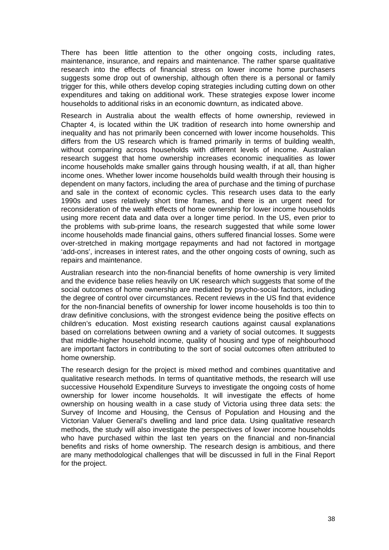There has been little attention to the other ongoing costs, including rates, maintenance, insurance, and repairs and maintenance. The rather sparse qualitative research into the effects of financial stress on lower income home purchasers suggests some drop out of ownership, although often there is a personal or family trigger for this, while others develop coping strategies including cutting down on other expenditures and taking on additional work. These strategies expose lower income households to additional risks in an economic downturn, as indicated above.

Research in Australia about the wealth effects of home ownership, reviewed in Chapter 4, is located within the UK tradition of research into home ownership and inequality and has not primarily been concerned with lower income households. This differs from the US research which is framed primarily in terms of building wealth, without comparing across households with different levels of income. Australian research suggest that home ownership increases economic inequalities as lower income households make smaller gains through housing wealth, if at all, than higher income ones. Whether lower income households build wealth through their housing is dependent on many factors, including the area of purchase and the timing of purchase and sale in the context of economic cycles. This research uses data to the early 1990s and uses relatively short time frames, and there is an urgent need for reconsideration of the wealth effects of home ownership for lower income households using more recent data and data over a longer time period. In the US, even prior to the problems with sub-prime loans, the research suggested that while some lower income households made financial gains, others suffered financial losses. Some were over-stretched in making mortgage repayments and had not factored in mortgage 'add-ons', increases in interest rates, and the other ongoing costs of owning, such as repairs and maintenance.

Australian research into the non-financial benefits of home ownership is very limited and the evidence base relies heavily on UK research which suggests that some of the social outcomes of home ownership are mediated by psycho-social factors, including the degree of control over circumstances. Recent reviews in the US find that evidence for the non-financial benefits of ownership for lower income households is too thin to draw definitive conclusions, with the strongest evidence being the positive effects on children's education. Most existing research cautions against causal explanations based on correlations between owning and a variety of social outcomes. It suggests that middle-higher household income, quality of housing and type of neighbourhood are important factors in contributing to the sort of social outcomes often attributed to home ownership.

The research design for the project is mixed method and combines quantitative and qualitative research methods. In terms of quantitative methods, the research will use successive Household Expenditure Surveys to investigate the ongoing costs of home ownership for lower income households. It will investigate the effects of home ownership on housing wealth in a case study of Victoria using three data sets: the Survey of Income and Housing, the Census of Population and Housing and the Victorian Valuer General's dwelling and land price data. Using qualitative research methods, the study will also investigate the perspectives of lower income households who have purchased within the last ten years on the financial and non-financial benefits and risks of home ownership. The research design is ambitious, and there are many methodological challenges that will be discussed in full in the Final Report for the project.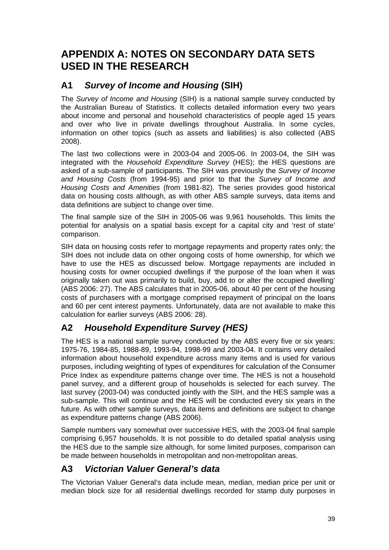# <span id="page-43-0"></span>**APPENDIX A: NOTES ON SECONDARY DATA SETS USED IN THE RESEARCH**

## **A1** *Survey of Income and Housing* **(SIH)**

The *Survey of Income and Housing* (SIH) is a national sample survey conducted by the Australian Bureau of Statistics. It collects detailed information every two years about income and personal and household characteristics of people aged 15 years and over who live in private dwellings throughout Australia. In some cycles, information on other topics (such as assets and liabilities) is also collected (ABS 2008).

The last two collections were in 2003-04 and 2005-06. In 2003-04, the SIH was integrated with the *Household Expenditure Survey* (HES); the HES questions are asked of a sub-sample of participants. The SIH was previously the *Survey of Income and Housing Costs* (from 1994-95) and prior to that the *Survey of Income and Housing Costs and Amenities* (from 1981-82). The series provides good historical data on housing costs although, as with other ABS sample surveys, data items and data definitions are subject to change over time.

The final sample size of the SIH in 2005-06 was 9,961 households. This limits the potential for analysis on a spatial basis except for a capital city and 'rest of state' comparison.

SIH data on housing costs refer to mortgage repayments and property rates only; the SIH does not include data on other ongoing costs of home ownership, for which we have to use the HES as discussed below. Mortgage repayments are included in housing costs for owner occupied dwellings if 'the purpose of the loan when it was originally taken out was primarily to build, buy, add to or alter the occupied dwelling' (ABS 2006: 27). The ABS calculates that in 2005-06, about 40 per cent of the housing costs of purchasers with a mortgage comprised repayment of principal on the loans and 60 per cent interest payments. Unfortunately, data are not available to make this calculation for earlier surveys (ABS 2006: 28).

## **A2** *Household Expenditure Survey (HES)*

The HES is a national sample survey conducted by the ABS every five or six years: 1975-76, 1984-85, 1988-89, 1993-94, 1998-99 and 2003-04. It contains very detailed information about household expenditure across many items and is used for various purposes, including weighting of types of expenditures for calculation of the Consumer Price Index as expenditure patterns change over time. The HES is not a household panel survey, and a different group of households is selected for each survey. The last survey (2003-04) was conducted jointly with the SIH, and the HES sample was a sub-sample. This will continue and the HES will be conducted every six years in the future. As with other sample surveys, data items and definitions are subject to change as expenditure patterns change (ABS 2006).

Sample numbers vary somewhat over successive HES, with the 2003-04 final sample comprising 6,957 households. It is not possible to do detailed spatial analysis using the HES due to the sample size although, for some limited purposes, comparison can be made between households in metropolitan and non-metropolitan areas.

## **A3** *Victorian Valuer General's data*

The Victorian Valuer General's data include mean, median, median price per unit or median block size for all residential dwellings recorded for stamp duty purposes in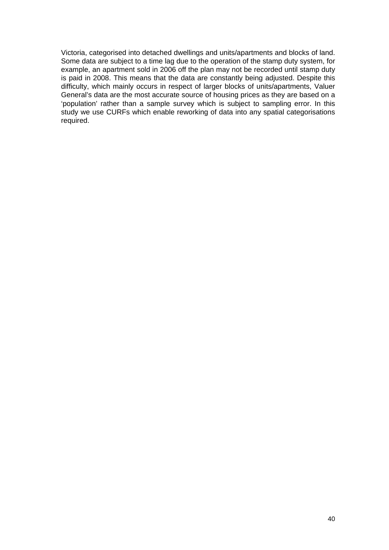Victoria, categorised into detached dwellings and units/apartments and blocks of land. Some data are subject to a time lag due to the operation of the stamp duty system, for example, an apartment sold in 2006 off the plan may not be recorded until stamp duty is paid in 2008. This means that the data are constantly being adjusted. Despite this difficulty, which mainly occurs in respect of larger blocks of units/apartments, Valuer General's data are the most accurate source of housing prices as they are based on a 'population' rather than a sample survey which is subject to sampling error. In this study we use CURFs which enable reworking of data into any spatial categorisations required.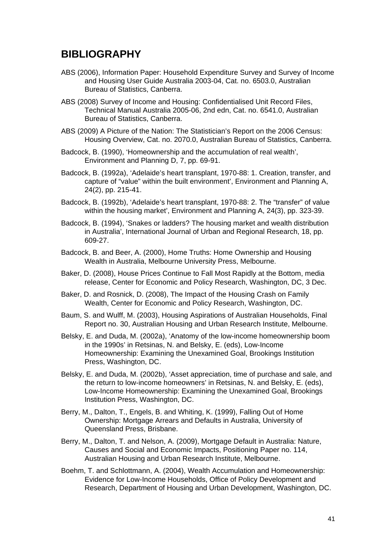## <span id="page-45-0"></span>**BIBLIOGRAPHY**

- ABS (2006), Information Paper: Household Expenditure Survey and Survey of Income and Housing User Guide Australia 2003-04, Cat. no. 6503.0, Australian Bureau of Statistics, Canberra.
- ABS (2008) Survey of Income and Housing: Confidentialised Unit Record Files, Technical Manual Australia 2005-06, 2nd edn, Cat. no. 6541.0, Australian Bureau of Statistics, Canberra.
- ABS (2009) A Picture of the Nation: The Statistician's Report on the 2006 Census: Housing Overview, Cat. no. 2070.0, Australian Bureau of Statistics, Canberra.
- Badcock, B. (1990), 'Homeownership and the accumulation of real wealth', Environment and Planning D, 7, pp. 69-91.
- Badcock, B. (1992a), 'Adelaide's heart transplant, 1970-88: 1. Creation, transfer, and capture of "value" within the built environment', Environment and Planning A, 24(2), pp. 215-41.
- Badcock, B. (1992b), 'Adelaide's heart transplant, 1970-88: 2. The "transfer" of value within the housing market', Environment and Planning A, 24(3), pp. 323-39.
- Badcock, B. (1994), 'Snakes or ladders? The housing market and wealth distribution in Australia', International Journal of Urban and Regional Research, 18, pp. 609-27.
- Badcock, B. and Beer, A. (2000), Home Truths: Home Ownership and Housing Wealth in Australia, Melbourne University Press, Melbourne.
- Baker, D. (2008), House Prices Continue to Fall Most Rapidly at the Bottom, media release, Center for Economic and Policy Research, Washington, DC, 3 Dec.
- Baker, D. and Rosnick, D. (2008), The Impact of the Housing Crash on Family Wealth, Center for Economic and Policy Research, Washington, DC.
- Baum, S. and Wulff, M. (2003), Housing Aspirations of Australian Households, Final Report no. 30, Australian Housing and Urban Research Institute, Melbourne.
- Belsky, E. and Duda, M. (2002a), 'Anatomy of the low-income homeownership boom in the 1990s' in Retsinas, N. and Belsky, E. (eds), Low-Income Homeownership: Examining the Unexamined Goal, Brookings Institution Press, Washington, DC.
- Belsky, E. and Duda, M. (2002b), 'Asset appreciation, time of purchase and sale, and the return to low-income homeowners' in Retsinas, N. and Belsky, E. (eds), Low-Income Homeownership: Examining the Unexamined Goal, Brookings Institution Press, Washington, DC.
- Berry, M., Dalton, T., Engels, B. and Whiting, K. (1999), Falling Out of Home Ownership: Mortgage Arrears and Defaults in Australia, University of Queensland Press, Brisbane.
- Berry, M., Dalton, T. and Nelson, A. (2009), Mortgage Default in Australia: Nature, Causes and Social and Economic Impacts, Positioning Paper no. 114, Australian Housing and Urban Research Institute, Melbourne.
- Boehm, T. and Schlottmann, A. (2004), Wealth Accumulation and Homeownership: Evidence for Low-Income Households, Office of Policy Development and Research, Department of Housing and Urban Development, Washington, DC.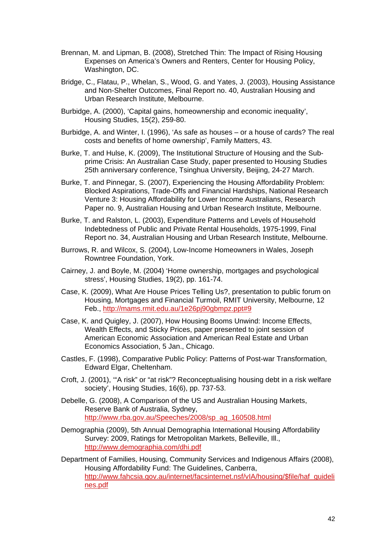- Brennan, M. and Lipman, B. (2008), Stretched Thin: The Impact of Rising Housing Expenses on America's Owners and Renters, Center for Housing Policy, Washington, DC.
- Bridge, C., Flatau, P., Whelan, S., Wood, G. and Yates, J. (2003), Housing Assistance and Non-Shelter Outcomes, Final Report no. 40, Australian Housing and Urban Research Institute, Melbourne.
- Burbidge, A. (2000), 'Capital gains, homeownership and economic inequality', Housing Studies, 15(2), 259-80.
- Burbidge, A. and Winter, I. (1996), 'As safe as houses or a house of cards? The real costs and benefits of home ownership', Family Matters, 43.
- Burke, T. and Hulse, K. (2009), The Institutional Structure of Housing and the Subprime Crisis: An Australian Case Study, paper presented to Housing Studies 25th anniversary conference, Tsinghua University, Beijing, 24-27 March.
- Burke, T. and Pinnegar, S. (2007), Experiencing the Housing Affordability Problem: Blocked Aspirations, Trade-Offs and Financial Hardships, National Research Venture 3: Housing Affordability for Lower Income Australians, Research Paper no. 9, Australian Housing and Urban Research Institute, Melbourne.
- Burke, T. and Ralston, L. (2003), Expenditure Patterns and Levels of Household Indebtedness of Public and Private Rental Households, 1975-1999, Final Report no. 34, Australian Housing and Urban Research Institute, Melbourne.
- Burrows, R. and Wilcox, S. (2004), Low-Income Homeowners in Wales, Joseph Rowntree Foundation, York.
- Cairney, J. and Boyle, M. (2004) 'Home ownership, mortgages and psychological stress', Housing Studies, 19(2), pp. 161-74.
- Case, K. (2009), What Are House Prices Telling Us?, presentation to public forum on Housing, Mortgages and Financial Turmoil, RMIT University, Melbourne, 12 Feb., <http://mams.rmit.edu.au/1e26pj90gbmpz.ppt#9>
- Case, K. and Quigley, J. (2007), How Housing Booms Unwind: Income Effects, Wealth Effects, and Sticky Prices, paper presented to joint session of American Economic Association and American Real Estate and Urban Economics Association, 5 Jan., Chicago.
- Castles, F. (1998), Comparative Public Policy: Patterns of Post-war Transformation, Edward Elgar, Cheltenham.
- Croft, J. (2001), '"A risk" or "at risk"? Reconceptualising housing debt in a risk welfare society', Housing Studies, 16(6), pp. 737-53.
- Debelle, G. (2008), A Comparison of the US and Australian Housing Markets, Reserve Bank of Australia, Sydney, [http://www.rba.gov.au/Speeches/2008/sp\\_ag\\_160508.html](http://www.rba.gov.au/Speeches/2008/sp_ag_160508.html)
- Demographia (2009), 5th Annual Demographia International Housing Affordability Survey: 2009, Ratings for Metropolitan Markets, Belleville, Ill., <http://www.demographia.com/dhi.pdf>
- Department of Families, Housing, Community Services and Indigenous Affairs (2008), Housing Affordability Fund: The Guidelines, Canberra, [http://www.fahcsia.gov.au/internet/facsinternet.nsf/vIA/housing/\\$file/haf\\_guideli](http://www.fahcsia.gov.au/internet/facsinternet.nsf/vIA/housing/$file/haf_guidelines.pdf) [nes.pdf](http://www.fahcsia.gov.au/internet/facsinternet.nsf/vIA/housing/$file/haf_guidelines.pdf)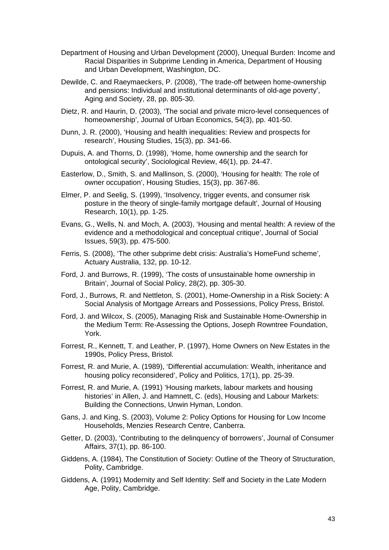- Department of Housing and Urban Development (2000), Unequal Burden: Income and Racial Disparities in Subprime Lending in America, Department of Housing and Urban Development, Washington, DC.
- Dewilde, C. and Raeymaeckers, P. (2008), 'The trade-off between home-ownership and pensions: Individual and institutional determinants of old-age poverty', Aging and Society, 28, pp. 805-30.
- Dietz, R. and Haurin, D. (2003), 'The social and private micro-level consequences of homeownership', Journal of Urban Economics, 54(3), pp. 401-50.
- Dunn, J. R. (2000), 'Housing and health inequalities: Review and prospects for research', Housing Studies, 15(3), pp. 341-66.
- Dupuis, A. and Thorns, D. (1998), 'Home, home ownership and the search for ontological security', Sociological Review, 46(1), pp. 24-47.
- Easterlow, D., Smith, S. and Mallinson, S. (2000), 'Housing for health: The role of owner occupation', Housing Studies, 15(3), pp. 367-86.
- Elmer, P. and Seelig, S. (1999), 'Insolvency, trigger events, and consumer risk posture in the theory of single-family mortgage default', Journal of Housing Research, 10(1), pp. 1-25.
- Evans, G., Wells, N. and Moch, A. (2003), 'Housing and mental health: A review of the evidence and a methodological and conceptual critique', Journal of Social Issues, 59(3), pp. 475-500.
- Ferris, S. (2008), 'The other subprime debt crisis: Australia's HomeFund scheme', Actuary Australia, 132, pp. 10-12.
- Ford, J. and Burrows, R. (1999), 'The costs of unsustainable home ownership in Britain', Journal of Social Policy, 28(2), pp. 305-30.
- Ford, J., Burrows, R. and Nettleton, S. (2001), Home-Ownership in a Risk Society: A Social Analysis of Mortgage Arrears and Possessions, Policy Press, Bristol.
- Ford, J. and Wilcox, S. (2005), Managing Risk and Sustainable Home-Ownership in the Medium Term: Re-Assessing the Options, Joseph Rowntree Foundation, York.
- Forrest, R., Kennett, T. and Leather, P. (1997), Home Owners on New Estates in the 1990s, Policy Press, Bristol.
- Forrest, R. and Murie, A. (1989), 'Differential accumulation: Wealth, inheritance and housing policy reconsidered', Policy and Politics, 17(1), pp. 25-39.
- Forrest, R. and Murie, A. (1991) 'Housing markets, labour markets and housing histories' in Allen, J. and Hamnett, C. (eds), Housing and Labour Markets: Building the Connections, Unwin Hyman, London.
- Gans, J. and King, S. (2003), Volume 2: Policy Options for Housing for Low Income Households, Menzies Research Centre, Canberra.
- Getter, D. (2003), 'Contributing to the delinquency of borrowers', Journal of Consumer Affairs, 37(1), pp. 86-100.
- Giddens, A. (1984), The Constitution of Society: Outline of the Theory of Structuration, Polity, Cambridge.
- Giddens, A. (1991) Modernity and Self Identity: Self and Society in the Late Modern Age, Polity, Cambridge.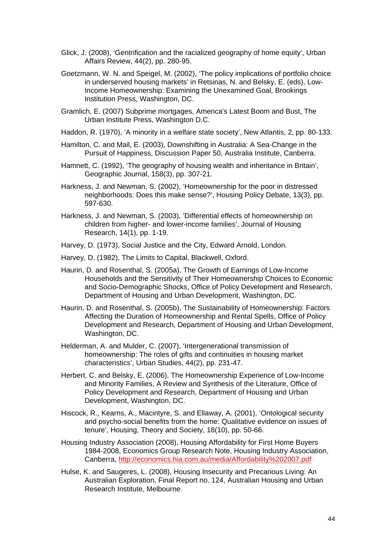- Glick, J. (2008), 'Gentrification and the racialized geography of home equity', Urban Affairs Review, 44(2), pp. 280-95.
- Goetzmann, W. N. and Speigel, M. (2002), 'The policy implications of portfolio choice in underserved housing markets' in Retsinas, N. and Belsky, E. (eds), Low-Income Homeownership: Examining the Unexamined Goal, Brookings Institution Press, Washington, DC.
- Gramlich, E. (2007) Subprime mortgages, America's Latest Boom and Bust, The Urban Institute Press, Washington D.C.
- Haddon, R. (1970), 'A minority in a welfare state society', New Atlantis, 2, pp. 80-133.
- Hamilton, C. and Mail, E. (2003), Downshifting in Australia: A Sea-Change in the Pursuit of Happiness, Discussion Paper 50, Australia Institute, Canberra.
- Hamnett, C. (1992), 'The geography of housing wealth and inheritance in Britain', Geographic Journal, 158(3), pp. 307-21.
- Harkness, J. and Newman, S. (2002), 'Homeownership for the poor in distressed neighborhoods: Does this make sense?', Housing Policy Debate, 13(3), pp. 597-630.
- Harkness, J. and Newman, S. (2003), 'Differential effects of homeownership on children from higher- and lower-income families', Journal of Housing Research, 14(1), pp. 1-19.
- Harvey, D. (1973), Social Justice and the City, Edward Arnold, London.
- Harvey, D. (1982), The Limits to Capital, Blackwell, Oxford.
- Haurin, D. and Rosenthal, S. (2005a), The Growth of Earnings of Low-Income Households and the Sensitivity of Their Homeownership Choices to Economic and Socio-Demographic Shocks, Office of Policy Development and Research, Department of Housing and Urban Development, Washington, DC.
- Haurin, D. and Rosenthal, S. (2005b), The Sustainability of Homeownership: Factors Affecting the Duration of Homeownership and Rental Spells, Office of Policy Development and Research, Department of Housing and Urban Development, Washington, DC.
- Helderman, A. and Mulder, C. (2007), 'Intergenerational transmission of homeownership: The roles of gifts and continuities in housing market characteristics', Urban Studies, 44(2), pp. 231-47.
- Herbert, C. and Belsky, E. (2006), The Homeownership Experience of Low-Income and Minority Families, A Review and Synthesis of the Literature, Office of Policy Development and Research, Department of Housing and Urban Development, Washington, DC.
- Hiscock, R., Kearns, A., Macintyre, S. and Ellaway, A. (2001), 'Ontological security and psycho-social benefits from the home: Qualitative evidence on issues of tenure', Housing, Theory and Society, 18(10), pp. 50-66.
- Housing Industry Association (2008), Housing Affordability for First Home Buyers 1984-2008, Economics Group Research Note, Housing Industry Association, Canberra, <http://economics.hia.com.au/media/Affordability%202007.pdf>
- Hulse, K. and Saugeres, L. (2008), Housing Insecurity and Precarious Living: An Australian Exploration, Final Report no. 124, Australian Housing and Urban Research Institute, Melbourne.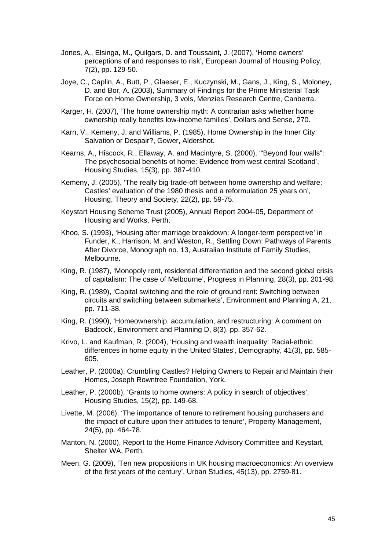- Jones, A., Elsinga, M., Quilgars, D. and Toussaint, J. (2007), 'Home owners' perceptions of and responses to risk', European Journal of Housing Policy, 7(2), pp. 129-50.
- Joye, C., Caplin, A., Butt, P., Glaeser, E., Kuczynski, M., Gans, J., King, S., Moloney, D. and Bor, A. (2003), Summary of Findings for the Prime Ministerial Task Force on Home Ownership, 3 vols, Menzies Research Centre, Canberra.
- Karger, H. (2007), 'The home ownership myth: A contrarian asks whether home ownership really benefits low-income families', Dollars and Sense, 270.
- Karn, V., Kemeny, J. and Williams, P. (1985), Home Ownership in the Inner City: Salvation or Despair?, Gower, Aldershot.
- Kearns, A., Hiscock, R., Ellaway, A. and Macintyre, S. (2000), '"Beyond four walls": The psychosocial benefits of home: Evidence from west central Scotland', Housing Studies, 15(3), pp. 387-410.
- Kemeny, J. (2005), 'The really big trade-off between home ownership and welfare: Castles' evaluation of the 1980 thesis and a reformulation 25 years on', Housing, Theory and Society, 22(2), pp. 59-75.
- Keystart Housing Scheme Trust (2005), Annual Report 2004-05, Department of Housing and Works, Perth.
- Khoo, S. (1993), 'Housing after marriage breakdown: A longer-term perspective' in Funder, K., Harrison, M. and Weston, R., Settling Down: Pathways of Parents After Divorce, Monograph no. 13, Australian Institute of Family Studies, Melbourne.
- King, R. (1987), 'Monopoly rent, residential differentiation and the second global crisis of capitalism: The case of Melbourne', Progress in Planning, 28(3), pp. 201-98.
- King, R. (1989), 'Capital switching and the role of ground rent: Switching between circuits and switching between submarkets', Environment and Planning A, 21, pp. 711-38.
- King, R. (1990), 'Homeownership, accumulation, and restructuring: A comment on Badcock', Environment and Planning D, 8(3), pp. 357-62.
- Krivo, L. and Kaufman, R. (2004), 'Housing and wealth inequality: Racial-ethnic differences in home equity in the United States', Demography, 41(3), pp. 585- 605.
- Leather, P. (2000a), Crumbling Castles? Helping Owners to Repair and Maintain their Homes, Joseph Rowntree Foundation, York.
- Leather, P. (2000b), 'Grants to home owners: A policy in search of objectives', Housing Studies, 15(2), pp. 149-68.
- Livette, M. (2006), 'The importance of tenure to retirement housing purchasers and the impact of culture upon their attitudes to tenure', Property Management, 24(5), pp. 464-78.
- Manton, N. (2000), Report to the Home Finance Advisory Committee and Keystart, Shelter WA, Perth.
- Meen, G. (2009), 'Ten new propositions in UK housing macroeconomics: An overview of the first years of the century', Urban Studies, 45(13), pp. 2759-81.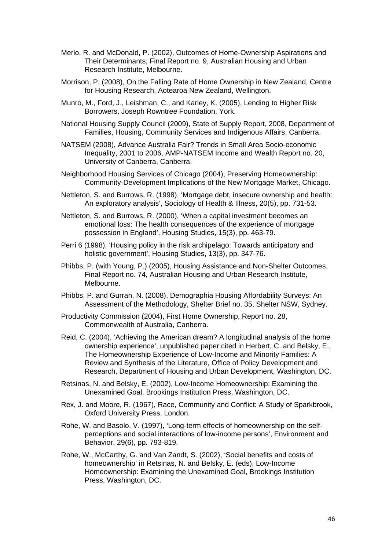- Merlo, R. and McDonald, P. (2002), Outcomes of Home-Ownership Aspirations and Their Determinants, Final Report no. 9, Australian Housing and Urban Research Institute, Melbourne.
- Morrison, P. (2008), On the Falling Rate of Home Ownership in New Zealand, Centre for Housing Research, Aotearoa New Zealand, Wellington.
- Munro, M., Ford, J., Leishman, C., and Karley, K. (2005), Lending to Higher Risk Borrowers, Joseph Rowntree Foundation, York.
- National Housing Supply Council (2009), State of Supply Report, 2008, Department of Families, Housing, Community Services and Indigenous Affairs, Canberra.
- NATSEM (2008), Advance Australia Fair? Trends in Small Area Socio-economic Inequality, 2001 to 2006, AMP-NATSEM Income and Wealth Report no. 20, University of Canberra, Canberra.
- Neighborhood Housing Services of Chicago (2004), Preserving Homeownership: Community-Development Implications of the New Mortgage Market, Chicago.
- Nettleton, S. and Burrows, R. (1998), 'Mortgage debt, insecure ownership and health: An exploratory analysis', Sociology of Health & Illness, 20(5), pp. 731-53.
- Nettleton, S. and Burrows, R. (2000), 'When a capital investment becomes an emotional loss: The health consequences of the experience of mortgage possession in England', Housing Studies, 15(3), pp. 463-79.
- Perri 6 (1998), 'Housing policy in the risk archipelago: Towards anticipatory and holistic government', Housing Studies, 13(3), pp. 347-76.
- Phibbs, P. (with Young, P.) (2005), Housing Assistance and Non-Shelter Outcomes, Final Report no. 74, Australian Housing and Urban Research Institute, Melbourne.
- Phibbs, P. and Gurran, N. (2008), Demographia Housing Affordability Surveys: An Assessment of the Methodology, Shelter Brief no. 35, Shelter NSW, Sydney.
- Productivity Commission (2004), First Home Ownership, Report no. 28, Commonwealth of Australia, Canberra.
- Reid, C. (2004), 'Achieving the American dream? A longitudinal analysis of the home ownership experience', unpublished paper cited in Herbert, C. and Belsky, E., The Homeownership Experience of Low-Income and Minority Families: A Review and Synthesis of the Literature, Office of Policy Development and Research, Department of Housing and Urban Development, Washington, DC.
- Retsinas, N. and Belsky, E. (2002), Low-Income Homeownership: Examining the Unexamined Goal, Brookings Institution Press, Washington, DC.
- Rex, J. and Moore, R. (1967), Race, Community and Conflict: A Study of Sparkbrook, Oxford University Press, London.
- Rohe, W. and Basolo, V. (1997), 'Long-term effects of homeownership on the selfperceptions and social interactions of low-income persons', Environment and Behavior, 29(6), pp. 793-819.
- Rohe, W., McCarthy, G. and Van Zandt, S. (2002), 'Social benefits and costs of homeownership' in Retsinas, N. and Belsky, E. (eds), Low-Income Homeownership: Examining the Unexamined Goal, Brookings Institution Press, Washington, DC.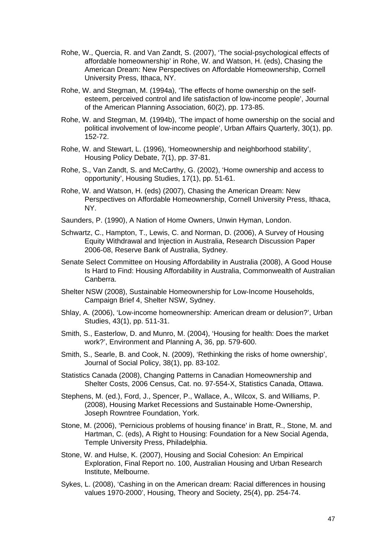- Rohe, W., Quercia, R. and Van Zandt, S. (2007), 'The social-psychological effects of affordable homeownership' in Rohe, W. and Watson, H. (eds), Chasing the American Dream: New Perspectives on Affordable Homeownership, Cornell University Press, Ithaca, NY.
- Rohe, W. and Stegman, M. (1994a), 'The effects of home ownership on the selfesteem, perceived control and life satisfaction of low-income people', Journal of the American Planning Association, 60(2), pp. 173-85.
- Rohe, W. and Stegman, M. (1994b), 'The impact of home ownership on the social and political involvement of low-income people', Urban Affairs Quarterly, 30(1), pp. 152-72.
- Rohe, W. and Stewart, L. (1996), 'Homeownership and neighborhood stability', Housing Policy Debate, 7(1), pp. 37-81.
- Rohe, S., Van Zandt, S. and McCarthy, G. (2002), 'Home ownership and access to opportunity', Housing Studies, 17(1), pp. 51-61.
- Rohe, W. and Watson, H. (eds) (2007), Chasing the American Dream: New Perspectives on Affordable Homeownership, Cornell University Press, Ithaca, NY.
- Saunders, P. (1990), A Nation of Home Owners, Unwin Hyman, London.
- Schwartz, C., Hampton, T., Lewis, C. and Norman, D. (2006), A Survey of Housing Equity Withdrawal and Injection in Australia, Research Discussion Paper 2006-08, Reserve Bank of Australia, Sydney.
- Senate Select Committee on Housing Affordability in Australia (2008), A Good House Is Hard to Find: Housing Affordability in Australia, Commonwealth of Australian Canberra.
- Shelter NSW (2008), Sustainable Homeownership for Low-Income Households, Campaign Brief 4, Shelter NSW, Sydney.
- Shlay, A. (2006), 'Low-income homeownership: American dream or delusion?', Urban Studies, 43(1), pp. 511-31.
- Smith, S., Easterlow, D. and Munro, M. (2004), 'Housing for health: Does the market work?', Environment and Planning A, 36, pp. 579-600.
- Smith, S., Searle, B. and Cook, N. (2009), 'Rethinking the risks of home ownership', Journal of Social Policy, 38(1), pp. 83-102.
- Statistics Canada (2008), Changing Patterns in Canadian Homeownership and Shelter Costs, 2006 Census, Cat. no. 97-554-X, Statistics Canada, Ottawa.
- Stephens, M. (ed.), Ford, J., Spencer, P., Wallace, A., Wilcox, S. and Williams, P. (2008), Housing Market Recessions and Sustainable Home-Ownership, Joseph Rowntree Foundation, York.
- Stone, M. (2006), 'Pernicious problems of housing finance' in Bratt, R., Stone, M. and Hartman, C. (eds), A Right to Housing: Foundation for a New Social Agenda, Temple University Press, Philadelphia.
- Stone, W. and Hulse, K. (2007), Housing and Social Cohesion: An Empirical Exploration, Final Report no. 100, Australian Housing and Urban Research Institute, Melbourne.
- Sykes, L. (2008), 'Cashing in on the American dream: Racial differences in housing values 1970-2000', Housing, Theory and Society, 25(4), pp. 254-74.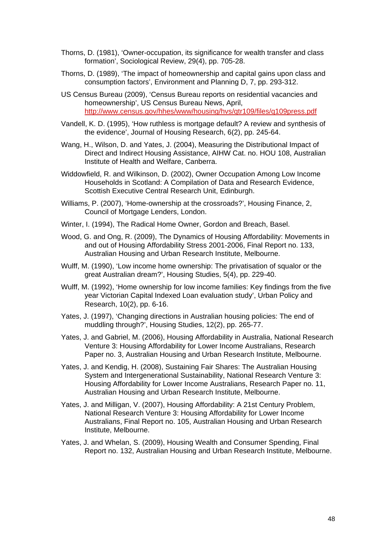- Thorns, D. (1981), 'Owner-occupation, its significance for wealth transfer and class formation', Sociological Review, 29(4), pp. 705-28.
- Thorns, D. (1989), 'The impact of homeownership and capital gains upon class and consumption factors', Environment and Planning D, 7, pp. 293-312.
- US Census Bureau (2009), 'Census Bureau reports on residential vacancies and homeownership', US Census Bureau News, April, <http://www.census.gov/hhes/www/housing/hvs/qtr109/files/q109press.pdf>
- Vandell, K. D. (1995), 'How ruthless is mortgage default? A review and synthesis of the evidence', Journal of Housing Research, 6(2), pp. 245-64.
- Wang, H., Wilson, D. and Yates, J. (2004), Measuring the Distributional Impact of Direct and Indirect Housing Assistance, AIHW Cat. no. HOU 108, Australian Institute of Health and Welfare, Canberra.
- Widdowfield, R. and Wilkinson, D. (2002), Owner Occupation Among Low Income Households in Scotland: A Compilation of Data and Research Evidence, Scottish Executive Central Research Unit, Edinburgh.
- Williams, P. (2007), 'Home-ownership at the crossroads?', Housing Finance, 2, Council of Mortgage Lenders, London.
- Winter, I. (1994), The Radical Home Owner, Gordon and Breach, Basel.
- Wood, G. and Ong, R. (2009), The Dynamics of Housing Affordability: Movements in and out of Housing Affordability Stress 2001-2006, Final Report no. 133, Australian Housing and Urban Research Institute, Melbourne.
- Wulff, M. (1990), 'Low income home ownership: The privatisation of squalor or the great Australian dream?', Housing Studies, 5(4), pp. 229-40.
- Wulff, M. (1992), 'Home ownership for low income families: Key findings from the five year Victorian Capital Indexed Loan evaluation study', Urban Policy and Research, 10(2), pp. 6-16.
- Yates, J. (1997), 'Changing directions in Australian housing policies: The end of muddling through?', Housing Studies, 12(2), pp. 265-77.
- Yates, J. and Gabriel, M. (2006), Housing Affordability in Australia, National Research Venture 3: Housing Affordability for Lower Income Australians, Research Paper no. 3, Australian Housing and Urban Research Institute, Melbourne.
- Yates, J. and Kendig, H. (2008), Sustaining Fair Shares: The Australian Housing System and Intergenerational Sustainability, National Research Venture 3: Housing Affordability for Lower Income Australians, Research Paper no. 11, Australian Housing and Urban Research Institute, Melbourne.
- Yates, J. and Milligan, V. (2007), Housing Affordability: A 21st Century Problem, National Research Venture 3: Housing Affordability for Lower Income Australians, Final Report no. 105, Australian Housing and Urban Research Institute, Melbourne.
- Yates, J. and Whelan, S. (2009), Housing Wealth and Consumer Spending, Final Report no. 132, Australian Housing and Urban Research Institute, Melbourne.